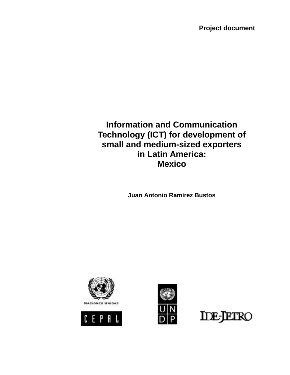**Project document**

# **Information and Communication Technology (ICT) for development of small and medium-sized exporters in Latin America: Mexico**

**Juan Antonio Ramírez Bustos** 







**IDE-JETRO**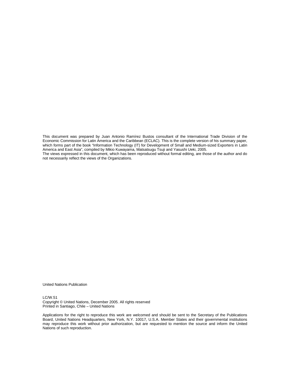This document was prepared by Juan Antonio Ramírez Bustos consultant of the International Trade Division of the Economic Commission for Latin America and the Caribbean (ECLAC). This is the complete version of his summary paper, which forms part of the book "Information Technology (IT) for Development of Small and Medium-sized Exporters in Latin America and East Asia", compiled by Mikio Kuwayama, Matsatsugu Tsuji and Yasushi Ueki, 2005. The views expressed in this document, which has been reproduced without formal editing, are those of the author and do not necessarily reflect the views of the Organizations.

United Nations Publication

LC/W.51

Copyright © United Nations, December 2005. All rights reserved Printed in Santiago, Chile – United Nations

Applications for the right to reproduce this work are welcomed and should be sent to the Secretary of the Publications Board, United Nations Headquarters, New York, N.Y. 10017, U.S.A. Member States and their governmental institutions may reproduce this work without prior authorization, but are requested to mention the source and inform the United Nations of such reproduction.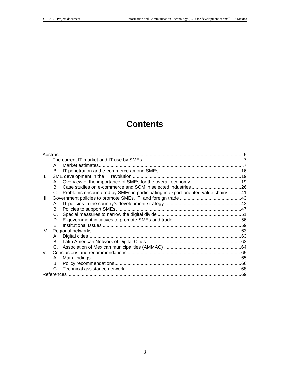# **Contents**

| Abstract |    |                                                                                     |  |
|----------|----|-------------------------------------------------------------------------------------|--|
|          |    |                                                                                     |  |
|          | A  |                                                                                     |  |
|          | В. |                                                                                     |  |
| II.      |    |                                                                                     |  |
|          |    |                                                                                     |  |
|          | B. |                                                                                     |  |
|          |    | C. Problems encountered by SMEs in participating in export-oriented value chains 41 |  |
| III.     |    |                                                                                     |  |
|          | А. |                                                                                     |  |
|          | В. |                                                                                     |  |
|          | C. |                                                                                     |  |
|          | D. |                                                                                     |  |
|          | E. |                                                                                     |  |
| IV.      |    |                                                                                     |  |
|          | А. |                                                                                     |  |
|          |    |                                                                                     |  |
|          |    |                                                                                     |  |
| V.       |    |                                                                                     |  |
|          | А. |                                                                                     |  |
|          | В. |                                                                                     |  |
|          |    |                                                                                     |  |
|          |    |                                                                                     |  |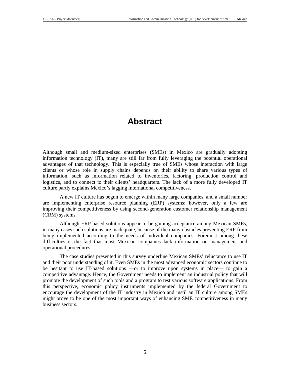## **Abstract**

Although small and medium-sized enterprises (SMEs) in Mexico are gradually adopting information technology (IT), many are still far from fully leveraging the potential operational advantages of that technology. This is especially true of SMEs whose interaction with large clients or whose role in supply chains depends on their ability to share various types of information, such as information related to inventories, factoring, production control and logistics, and to connect to their clients' headquarters. The lack of a more fully developed IT culture partly explains Mexico's lagging international competitiveness.

A new IT culture has begun to emerge within many large companies, and a small number are implementing enterprise resource planning (ERP) systems; however, only a few are improving their competitiveness by using second-generation customer relationship management (CRM) systems.

Although ERP-based solutions appear to be gaining acceptance among Mexican SMEs, in many cases such solutions are inadequate, because of the many obstacles preventing ERP from being implemented according to the needs of individual companies. Foremost among these difficulties is the fact that most Mexican companies lack information on management and operational procedures.

The case studies presented in this survey underline Mexican SMEs' reluctance to use IT and their poor understanding of it. Even SMEs in the most advanced economic sectors continue to be hesitant to use IT-based solutions —or to improve upon systems in place— to gain a competitive advantage. Hence, the Government needs to implement an industrial policy that will promote the development of such tools and a program to test various software applications. From this perspective, economic policy instruments implemented by the federal Government to encourage the development of the IT industry in Mexico and instil an IT culture among SMEs might prove to be one of the most important ways of enhancing SME competitiveness in many business sectors.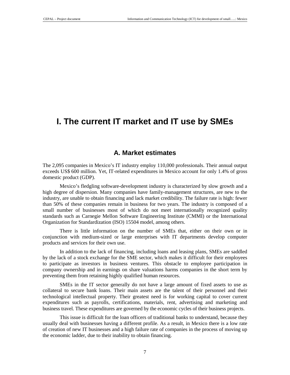# **I. The current IT market and IT use by SMEs**

### **A. Market estimates**

The 2,095 companies in Mexico's IT industry employ 110,000 professionals. Their annual output exceeds US\$ 600 million. Yet, IT-related expenditures in Mexico account for only 1.4% of gross domestic product (GDP).

Mexico's fledgling software-development industry is characterized by slow growth and a high degree of dispersion. Many companies have family-management structures, are new to the industry, are unable to obtain financing and lack market credibility. The failure rate is high: fewer than 50% of these companies remain in business for two years. The industry is composed of a small number of businesses most of which do not meet internationally recognized quality standards such as Carnegie Mellon Software Engineering Institute (CMMI) or the International Organization for Standardization (ISO) 15504 model, among others.

There is little information on the number of SMEs that, either on their own or in conjunction with medium-sized or large enterprises with IT departments develop computer products and services for their own use.

In addition to the lack of financing, including loans and leasing plans, SMEs are saddled by the lack of a stock exchange for the SME sector, which makes it difficult for their employees to participate as investors in business ventures. This obstacle to employee participation in company ownership and in earnings on share valuations harms companies in the short term by preventing them from retaining highly qualified human resources.

SMEs in the IT sector generally do not have a large amount of fixed assets to use as collateral to secure bank loans. Their main assets are the talent of their personnel and their technological intellectual property. Their greatest need is for working capital to cover current expenditures such as payrolls, certifications, materials, rent, advertising and marketing and business travel. These expenditures are governed by the economic cycles of their business projects.

This issue is difficult for the loan officers of traditional banks to understand, because they usually deal with businesses having a different profile. As a result, in Mexico there is a low rate of creation of new IT businesses and a high failure rate of companies in the process of moving up the economic ladder, due to their inability to obtain financing.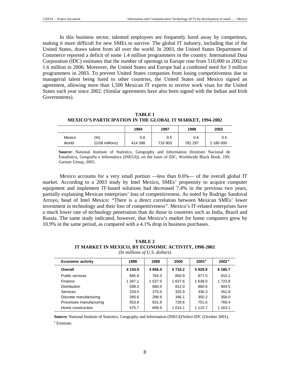In this business sector, talented employees are frequently lured away by competitors, making it more difficult for new SMEs to survive. The global IT industry, including that of the United States, draws talent from all over the world. In 2003, the United States Department of Commerce reported a deficit of some 1.4 million programmers in the country. International Data Corporation (IDC) estimates that the number of openings in Europe rose from 510,000 in 2002 to 1.6 million in 2006. Moreover, the United States and Europe had a combined need for 3 million programmers in 2003. To prevent United States companies from losing competitiveness due to managerial talent being lured to other countries, the United States and Mexico signed an agreement, allowing more than 1,500 Mexican IT experts to receive work visas for the United States each year since 2002. (Similar agreements have also been signed with the Indian and Irish Governments).

**TABLE 1 MEXICO'S PARTICIPATION IN THE GLOBAL IT MARKET, 1994-2002** 

|        |                 | 1994    | 1997    | 1998    | 2002      |
|--------|-----------------|---------|---------|---------|-----------|
| Mexico | $\%$            | 0.8     | 0.5     | 0.6     | 0.5       |
| World  | (US\$ millions) | 414 398 | 716 903 | 781 297 | 2 180 000 |

**Source:** National Institute of Statistics, Geography and Information (Instituto Nacional de Estadística, Geografía e Informática (INEGI)), on the basis of IDC, Worldwide Black Book, 199, Gartner Group, 2003.

Mexico accounts for a very small portion —less than 0.6%— of the overall global IT market. According to a 2003 study by Intel Mexico, SMEs' propensity to acquire computer equipment and implement IT-based solutions had decreased 7.4% in the previous two years, partially explaining Mexican enterprises' loss of competitiveness. As noted by Rodrigo Sandoval Arroyo, head of Intel Mexico: "There is a direct correlation between Mexican SMEs' lower investment in technology and their loss of competitiveness". Mexico's IT-related enterprises have a much lower rate of technology penetration than do those in countries such as India, Brazil and Russia. The same study indicated, however, that Mexico's market for home computers grew by 10.9% in the same period, as compared with a 4.1% drop in business purchases.

**TABLE 2 IT MARKET IN MEXICO, BY ECONOMIC ACTIVITY, 1998-2002**  *(In millions of U.S. dollars)* 

| <b>Economic activity</b> | 1998      | 1999    | 2000        | 2001 <sup>a</sup> | 2002 <sup>a</sup> |
|--------------------------|-----------|---------|-------------|-------------------|-------------------|
|                          |           |         |             |                   |                   |
| Overall                  | 4 1 3 4 9 | 4856.4  | 5716.2      | 5929.9            | 6 185.7           |
| Public services          | 665.9     | 764.3   | 850.9       | 877.5             | 915.1             |
| Finance                  | 1 347.1   | 1 537.5 | 1 637.6     | 1 638.0           | 1 723.8           |
| <b>Distribution</b>      | 598.3     | 680.0   | 812.0       | 860.6             | 904.5             |
| <b>Services</b>          | 233.5     | 275.0   | 325.9       | 336.3             | 351.8             |
| Discrete manufacturing   | 260.6     | 298.9   | 346.1       | 350.2             | 358.0             |
| Processes manufacturing  | 553.8     | 631.8   | 729.6       | 751.6             | 769.4             |
| Home construction        | 475.7     | 668.9   | 1 0 1 4 . 1 | 1 1 1 5.7         | 1 1 6 3 . 1       |

**Source:** National Institute of Statistics, Geography and Information (INEGI)/Select-IDC (October 2001). a Estimate.

8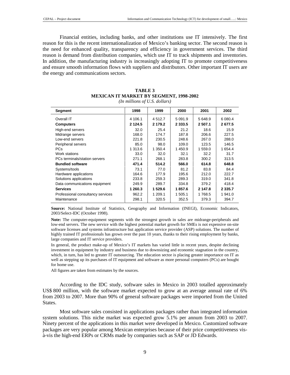Financial entities, including banks, and other institutions use IT intensively. The first reason for this is the recent internationalization of Mexico's banking sector. The second reason is the need for enhanced quality, transparency and efficiency in government services. The third reason is demand from distribution companies, which use IT to track shipments and inventories. In addition, the manufacturing industry is increasingly adopting IT to promote competitiveness and ensure smooth information flows with suppliers and distributors. Other important IT users are the energy and communications sectors.

|            | 2002                                                                                                                                                                        |
|------------|-----------------------------------------------------------------------------------------------------------------------------------------------------------------------------|
| 5 0 9 1 .9 | 6 0 8 0.4                                                                                                                                                                   |
| 2 3 3 3 .5 | 2677.5                                                                                                                                                                      |
| 21.2       | 15.9                                                                                                                                                                        |
| 187.8      | 227.5                                                                                                                                                                       |
| 248.6      | 288.0                                                                                                                                                                       |
| 109.0      | 146.5                                                                                                                                                                       |
| 1 450.9    | 1 654.4                                                                                                                                                                     |
| 32.1       | 31.7                                                                                                                                                                        |
| 283.8      | 313.5                                                                                                                                                                       |
| 566.0      | 648.8                                                                                                                                                                       |
| 81.2       | 84.4                                                                                                                                                                        |
| 195.6      | 222.7                                                                                                                                                                       |
| 289.3      | 341.8                                                                                                                                                                       |
| 334.8      | 418.4                                                                                                                                                                       |
| 1857.6     | 2 3 3 5.7                                                                                                                                                                   |
| 1 505.1    | 1 941.0                                                                                                                                                                     |
| 352.5      | 394.7                                                                                                                                                                       |
|            | 2000<br>2001<br>5 648.9<br>2 507.1<br>18.6<br>206.6<br>267.0<br>123.5<br>1 559.0<br>32.2<br>300.2<br>614.8<br>83.8<br>212.0<br>319.0<br>379.2<br>2 147.8<br>1768.5<br>379.3 |

#### **TABLE 3 MEXICAN IT MARKET BY SEGMENT, 1998-2002**  *(In millions of U.S. dollars)*

**Source:** National Institute of Statistics, Geography and Information (INEGI), Economic Indicators, 2003/Select-IDC (October 1998).

**Note:** The computer-equipment segments with the strongest growth in sales are midrange-peripherals and low-end servers. The new service with the highest potential market growth for SMEs is not expensive on-site software licenses and systems infrastructure but application service provider (ASP) solutions. The number of highly trained IT professionals has grown over the past 10 years, thanks to their rising employment by banks, large companies and IT service providers.

In general, the product make-up of Mexico's IT markets has varied little in recent years, despite declining investment in equipment by industry and business due to downsizing and economic stagnation in the country, which, in turn, has led to greater IT outsourcing. The education sector is placing greater importance on IT as well as stepping up its purchases of IT equipment and software as more personal computers (PCs) are bought for home use.

All figures are taken from estimates by the sources.

According to the IDC study, software sales in Mexico in 2003 totalled approximately US\$ 800 million, with the software market expected to grow at an average annual rate of 6% from 2003 to 2007. More than 90% of general software packages were imported from the United States.

Most software sales consisted in applications packages rather than integrated information system solutions. This niche market was expected grow 5.1% per annum from 2003 to 2007. Ninety percent of the applications in this market were developed in Mexico. Customized software packages are very popular among Mexican enterprises because of their price competitiveness visà-vis the high-end ERPs or CRMs made by companies such as SAP or JD Edwards.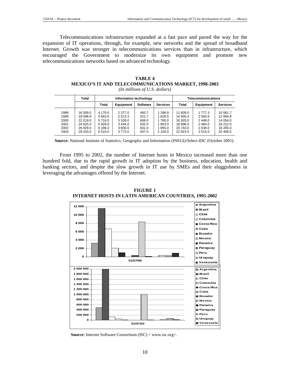Telecommunications infrastructure expanded at a fast pace and paved the way for the expansion of IT operations, through, for example, new networks and the spread of broadband Internet. Growth was stronger in telecommunications services than in infrastructure, which encouraged the Government to modernize its own equipment and promote new telecommunications networks based on advanced technology.

|      | Total    | Information technology |                  |                 |                 | <b>Telecommunications</b> |            |                 |
|------|----------|------------------------|------------------|-----------------|-----------------|---------------------------|------------|-----------------|
|      |          | Total                  | <b>Equipment</b> | <b>Software</b> | <b>Services</b> | Total                     | Equipment  | <b>Services</b> |
| 1998 | 16 009.0 | 4 170.0                | 2 3 7 7 .0       | 493.7           | 1 2 9 8.9       | 11 839.0                  | 1 7 7 7 3  | 10 061.7        |
| 1999 | 19 598.9 | 4 6 6 3.5              | 2513.3           | 521.7           | 1628.5          | 14 935.4                  | 2 040.6    | 12 894.8        |
| 2000 | 22 219.0 | 5716.0                 | 3 3 2 8 . 0      | 608.0           | 1780.0          | 16 503.0                  | 2449.0     | 14 054.0        |
| 2001 | 24 625.0 | 5929.0                 | 3,444.0          | 632.0           | 1853.0          | 18 696.0                  | 2484.0     | 16 212.0        |
| 2002 | 26 929.0 | 6 186.0                | 3 600.0          | 631.0           | 1955.0          | 20 743.0                  | 2 5 3 8 .0 | 18 205.0        |
| 2003 | 29 433.0 | 6 5 1 0 . 0            | 3773.0           | 637.0           | 2 100.0         | 22 923.0                  | 2515.0     | 20 408.0        |

**TABLE 4 MEXICO'S IT AND TELECOMMUNICATIONS MARKET, 1998-2003**  *(In millions of U.S. dollars)* 

**Source:** National Institute of Statistics, Geography and Information (INEGI)/Select-IDC (October 2001).

From 1995 to 2002, the number of Internet hosts in Mexico increased more than one hundred fold, due to the rapid growth in IT adoption by the business, education, health and banking sectors, and despite the slow growth in IT use by SMEs and their sluggishness in leveraging the advantages offered by the Internet.



**FIGURE 1 INTERNET HOSTS IN LATIN AMERICAN COUNTRIES, 1995-2002** 

**Source:** Internet Software Consortium (ISC) < www.isc.org>.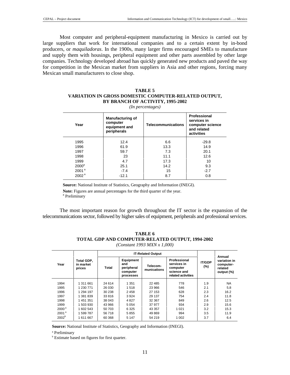Most computer and peripheral-equipment manufacturing in Mexico is carried out by large suppliers that work for international companies and to a certain extent by in-bond producers, or *maquiladoras*. In the 1900s, many larger firms encouraged SMEs to manufacture and supply them with housings, peripheral equipment and other parts assembled by other large companies. Technology developed abroad has quickly generated new products and paved the way for competition in the Mexican market from suppliers in Asia and other regions, forcing many Mexican small manufacturers to close shop.

#### **TABLE 5 VARIATION IN GROSS DOMESTIC COMPUTER-RELATED OUTPUT, BY BRANCH OF ACTIVITY, 1995-2002**

*(In percentages)* 

| Year              | <b>Manufacturing of</b><br>computer<br>equipment and<br>peripherals | <b>Telecommunications</b> | Professional<br>services in<br>computer science<br>and related<br>activities |
|-------------------|---------------------------------------------------------------------|---------------------------|------------------------------------------------------------------------------|
| 1995              | 12.4                                                                | 6.6                       | $-29.8$                                                                      |
| 1996              | 61.9                                                                | 13.3                      | 14.9                                                                         |
| 1997              | 59.7                                                                | 7.3                       | 20.1                                                                         |
| 1998              | 23                                                                  | 11.1                      | 12.6                                                                         |
| 1999              | 4.7                                                                 | 17.3                      | 10                                                                           |
| $2000^a$          | 25.1                                                                | 14.2                      | 9.3                                                                          |
| 2001 <sup>a</sup> | $-7.4$                                                              | 15                        | $-2.7$                                                                       |
| 2002 <sup>a</sup> | $-12.1$                                                             | 8.7                       | 0.8                                                                          |
|                   |                                                                     |                           |                                                                              |

**Source:** National Institute of Statistics, Geography and Information (INEGI).

**Note:** Figures are annual percentages for the third quarter of the year. a Preliminary

The most important reason for growth throughout the IT sector is the expansion of the telecommunications sector, followed by higher sales of equipment, peripherals and professional services.

|                   |                                   | <b>IT-Related Output</b> |                                                         |                         |                                                                              |                         | Annual                                             |
|-------------------|-----------------------------------|--------------------------|---------------------------------------------------------|-------------------------|------------------------------------------------------------------------------|-------------------------|----------------------------------------------------|
| Year              | Total GDP,<br>in market<br>prices | Total                    | Equipment<br>and<br>peripheral<br>computer<br>processes | Telecom-<br>munications | Professional<br>services in<br>computer<br>science and<br>related activities | <b>IT/GDP</b><br>$(\%)$ | variation in<br>computer-<br>related<br>output (%) |
| 1994              | 1 311 661                         | 24 614                   | 1 3 5 1                                                 | 22 485                  | 778                                                                          | 1.9                     | <b>NA</b>                                          |
| 1995              | 1 230 771                         | 26 030                   | 1518                                                    | 23 966                  | 546                                                                          | 2.1                     | 5.8                                                |
| 1996              | 1 294 197                         | 30 238                   | 2458                                                    | 27 153                  | 628                                                                          | 2.3                     | 16.2                                               |
| 1997              | 1 381 839                         | 33 816                   | 3924                                                    | 29 137                  | 754                                                                          | 2.4                     | 11.8                                               |
| 1998              | 1451351                           | 38 043                   | 4827                                                    | 32 367                  | 849                                                                          | 2.6                     | 12.5                                               |
| 1999              | 1 503 930                         | 43 966                   | 5054                                                    | 37 977                  | 934                                                                          | 2.9                     | 15.6                                               |
| $2000^{\text{a}}$ | 1 602 543                         | 50 703                   | 6 3 2 5                                                 | 43 357                  | 1 0 2 1                                                                      | 3.2                     | 15.3                                               |
| 2001 <sup>a</sup> | 1599787                           | 56 718                   | 5855                                                    | 49 869                  | 994                                                                          | 3.5                     | 11.9                                               |
| 2002 <sup>b</sup> | 1611667                           | 60 368                   | 5 1 4 7                                                 | 54 219                  | 1 002                                                                        | 3.7                     | 6.4                                                |

| TABLE 6                                          |  |  |  |  |  |
|--------------------------------------------------|--|--|--|--|--|
| TOTAL GDP AND COMPUTER-RELATED OUTPUT, 1994-2002 |  |  |  |  |  |
| (Constant 1993 MXN x 1,000)                      |  |  |  |  |  |

**Source:** National Institute of Statistics, Geography and Information (INEGI).

a Preliminary

b Estimate based on figures for first quarter.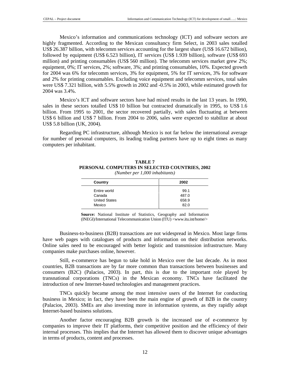Mexico's information and communications technology (ICT) and software sectors are highly fragmented. According to the Mexican consultancy firm Select, in 2003 sales totalled US\$ 26.387 billion, with telecomm services accounting for the largest share (US\$ 16.672 billion), followed by equipment (US\$ 6.523 billion), IT services (US\$ 1.939 billion), software (US\$ 693 million) and printing consumables (US\$ 560 million). The telecomm services market grew 2%; equipment, 0%; IT services, 2%; software, 3%; and printing consumables, 10%. Expected growth for 2004 was 6% for telecomm services, 3% for equipment, 5% for IT services, 3% for software and 2% for printing consumables. Excluding voice equipment and telecomm services, total sales were US\$ 7.321 billion, with 5.5% growth in 2002 and -0.5% in 2003, while estimated growth for 2004 was 3.4%.

Mexico's ICT and software sectors have had mixed results in the last 13 years. In 1990, sales in these sectors totalled US\$ 10 billion but contracted dramatically in 1995, to US\$ 1.6 billion. From 1995 to 2001, the sector recovered partially, with sales fluctuating at between US\$ 6 billion and US\$ 7 billion. From 2004 to 2006, sales were expected to stabilize at about US\$ 5.8 billion (UK, 2004).

Regarding PC infrastructure, although Mexico is not far below the international average for number of personal computers, its leading trading partners have up to eight times as many computers per inhabitant.

| Country              | 2002  |
|----------------------|-------|
| Entire world         | 99.1  |
| Canada               | 487.0 |
| <b>United States</b> | 658.9 |
| Mexico               | 82.0  |
|                      |       |

#### **TABLE 7 PERSONAL COMPUTERS IN SELECTED COUNTRIES, 2002**  *(Number per 1,000 inhabitants)*

**Source:** National Institute of Statistics, Geography and Information (INEGI)/International Telecommunication Union (ITU) <www.itu.int/home/>

Business-to-business (B2B) transactions are not widespread in Mexico. Most large firms have web pages with catalogues of products and information on their distribution networks. Online sales need to be encouraged with better logistic and transmission infrastructure. Many companies make purchases online, however.

Still, e-commerce has begun to take hold in Mexico over the last decade. As in most countries, B2B transactions are by far more common than transactions between businesses and consumers (B2C) (Palacios, 2003). In part, this is due to the important role played by transnational corporations (TNCs) in the Mexican economy. TNCs have facilitated the introduction of new Internet-based technologies and management practices.

TNCs quickly became among the most intensive users of the Internet for conducting business in Mexico; in fact, they have been the main engine of growth of B2B in the country (Palacios, 2003). SMEs are also investing more in information systems, as they rapidly adopt Internet-based business solutions.

Another factor encouraging B2B growth is the increased use of e-commerce by companies to improve their IT platforms, their competitive position and the efficiency of their internal processes. This implies that the Internet has allowed them to discover unique advantages in terms of products, content and processes.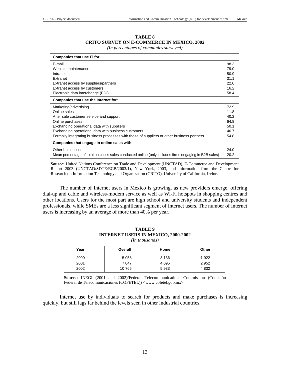| <b>TABLE 8</b>                                    |  |
|---------------------------------------------------|--|
| <b>CRITO SURVEY ON E-COMMERCE IN MEXICO, 2002</b> |  |

*(In percentages of companies surveyed)* 

| Companies that use IT for:                                                                           |      |
|------------------------------------------------------------------------------------------------------|------|
| E-mail                                                                                               | 98.3 |
| Website maintenance                                                                                  | 79.0 |
| Intranet                                                                                             | 50.9 |
| Extranet                                                                                             | 31.1 |
| Extranet access by suppliers/partners                                                                | 22.6 |
| Extranet access by customers                                                                         | 16.2 |
| Electronic data interchange (EDI)                                                                    | 58.4 |
| Companies that use the Internet for:                                                                 |      |
| Marketing/advertising                                                                                | 72.9 |
| Online sales                                                                                         | 11.8 |
| After sale customer service and support                                                              | 40.2 |
| Online purchases                                                                                     | 64.8 |
| Exchanging operational data with suppliers                                                           | 50.1 |
| Exchanging operational data with business customers                                                  | 46.7 |
| Formally integrating business processes with those of suppliers or other business partners           | 54.8 |
| Companies that engage in online sales with:                                                          |      |
| Other businesses                                                                                     | 24.0 |
| Mean percentage of total business sales conducted online (only includes firms engaging in B2B sales) | 20.2 |

**Source:** United Nations Conference on Trade and Development (UNCTAD), E-Commerce and Development Report 2003 (UNCTAD/SDTE/ECB/2003/1), New York, 2003, and information from the Centre for Research on Information Technology and Organization (CRITO), University of California, Irvine.

The number of Internet users in Mexico is growing, as new providers emerge, offering dial-up and cable and wireless-modem service as well as Wi-Fi hotspots in shopping centres and other locations. Users for the most part are high school and university students and independent professionals, while SMEs are a less significant segment of Internet users. The number of Internet users is increasing by an average of more than 40% per year.

| <b>INTERNET USERS IN MEXICO, 2000-2002</b><br>$(In$ thousands) |         |         |         |  |  |  |  |
|----------------------------------------------------------------|---------|---------|---------|--|--|--|--|
| Year                                                           | Overall | Home    | Other   |  |  |  |  |
| 2000                                                           | 5 0 5 8 | 3 1 3 6 | 1922    |  |  |  |  |
| 2001                                                           | 7 0 4 7 | 4 0 9 5 | 2952    |  |  |  |  |
| 2002                                                           | 10765   | 5933    | 4 8 3 2 |  |  |  |  |

**TABLE 9** 

**Source:** INEGI (2001 and 2002)/Federal Telecommunications Commission (Comisión Federal de Telecomunicaciones (COFETEL)) <www.cofetel.gob.mx>

Internet use by individuals to search for products and make purchases is increasing quickly, but still lags far behind the levels seen in other industrial countries.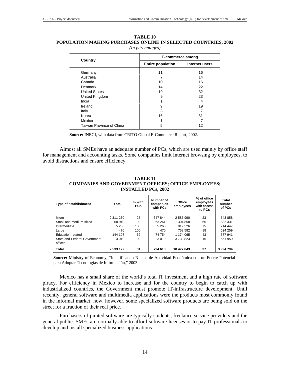|                          | E-commerce among         |                |  |  |
|--------------------------|--------------------------|----------------|--|--|
| Country                  | <b>Entire population</b> | Internet users |  |  |
| Germany                  | 11                       | 16             |  |  |
| Australia                |                          | 14             |  |  |
| Canada                   | 10                       | 16             |  |  |
| Denmark                  | 14                       | 22             |  |  |
| <b>United States</b>     | 19                       | 32             |  |  |
| United Kingdom           | 9                        | 23             |  |  |
| India                    |                          | 4              |  |  |
| Ireland                  | 9                        | 19             |  |  |
| Italy                    | 3                        | 7              |  |  |
| Korea                    | 16                       | 31             |  |  |
| Mexico                   |                          |                |  |  |
| Taiwan Province of China | 5                        | 12             |  |  |

| TABLE 10                                                       |
|----------------------------------------------------------------|
| POPULATION MAKING PURCHASES ONLINE IN SELECTED COUNTRIES. 2002 |
| (In percentages)                                               |

**Source:** INEGI, with data from CRITO Global E-Commerce Report, 2002.

Almost all SMEs have an adequate number of PCs, which are used mainly by office staff for management and accounting tasks. Some companies limit Internet browsing by employees, to avoid distractions and ensure efficiency.

| Type of establishment                   | <b>Total</b> | % with<br><b>PCs</b> | Number of<br>companies<br>with PCs | Office<br>employees | % of office<br>employees<br>with access<br>to PCs | Total<br>number<br>of PCs |
|-----------------------------------------|--------------|----------------------|------------------------------------|---------------------|---------------------------------------------------|---------------------------|
| Micro                                   | 2 311 230    | 28                   | 647 844                            | 2586990             | 23                                                | 643 858                   |
| Small and medium-sized                  | 68 940       | 92                   | 63 261                             | 1 304 858           | 65                                                | 882 331                   |
| Intermediate                            | 5 2 6 5      | 100                  | 5 2 6 5                            | 919 526             | 75                                                | 714 447                   |
| Large                                   | 470          | 100                  | 470                                | 758 582             | 88                                                | 624 259                   |
| Education-related                       | 144 197      | 52                   | 74 754                             | 1 174 065           | 43                                                | 577 941                   |
| State and Federal Government<br>offices | 3 0 1 9      | 100                  | 3019                               | 3733823             | 15                                                | 551 959                   |
| <b>Total</b>                            | 2 533 122    | 31                   | 794 613                            | 10 477 843          | 37                                                | 3994794                   |

**TABLE 11 COMPANIES AND GOVERNMENT OFFICES; OFFICE EMPLOYEES; INSTALLED PCs, 2002** 

**Source:** Ministry of Economy, "Identificando Nichos de Actividad Económica con un Fuerte Potencial para Adoptar Tecnologías de Información," 2003.

Mexico has a small share of the world's total IT investment and a high rate of software piracy. For efficiency in Mexico to increase and for the country to begin to catch up with industrialized countries, the Government must promote IT-infrastructure development. Until recently, general software and multimedia applications were the products most commonly found in the informal market; now, however, some specialized software products are being sold on the street for a fraction of their real price.

Purchasers of pirated software are typically students, freelance service providers and the general public. SMEs are normally able to afford software licenses or to pay IT professionals to develop and install specialized business applications.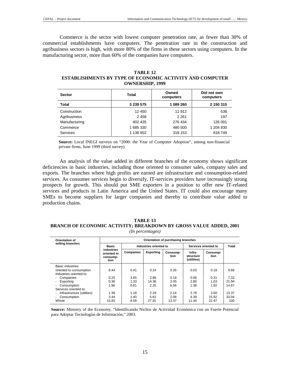Commerce is the sector with lowest computer penetration rate, as fewer than 30% of commercial establishments have computers. The penetration rate in the construction and agribusiness sectors is high, with more 80% of the firms in these sectors using computers. In the manufacturing sector, more than 60% of the companies have computers.

#### **TABLE 12**

**ESTABLISHMENTS BY TYPE OF ECONOMIC ACTIVITY AND COMPUTER OWNERSHIP, 1999** 

| <b>Sector</b> | Total     | Owned<br>computers | Did not own<br>computers |
|---------------|-----------|--------------------|--------------------------|
| Total         | 3 239 575 | 1 089 260          | 2 150 315                |
| Construction  | 12 450    | 11 912             | 538                      |
| Agribusiness  | 2458      | 2 2 6 1            | 197                      |
| Manufacturing | 402 435   | 276 434            | 126 001                  |
| Commerce      | 1 685 330 | 480 500            | 1 204 830                |
| Services      | 1 136 902 | 318 153            | 818749                   |

**Source:** Local INEGI surveys on "2000: the Year of Computer Adoption", among non-financial private firms, June 1999 (third survey).

An analysis of the value added in different branches of the economy shows significant deficiencies in basic industries, including those oriented to consumer sales, company sales and exports. The branches where high profits are earned are infrastructure and consumption-related services. As consumer services begin to diversify, IT-services providers have increasingly strong prospects for growth. This should put SME exporters in a position to offer new IT-related services and products in Latin America and the United States. IT could also encourage many SMEs to become suppliers for larger companies and thereby to contribute value added to production chains.

#### **TABLE 13 BRANCH OF ECONOMIC ACTIVITY; BREAKDOWN BY GROSS VALUE ADDED, 2001**  *(In percentages)*

| Orientation of                                                         | Orientation of purchasing branches            |              |                       |                        |                                    |                        |                |  |
|------------------------------------------------------------------------|-----------------------------------------------|--------------|-----------------------|------------------------|------------------------------------|------------------------|----------------|--|
| selling branches                                                       | <b>Basic</b>                                  |              |                       | Industries oriented to |                                    | Services oriented to   |                |  |
|                                                                        | industries<br>oriented to<br>consump-<br>tion | Companies    | <b>Exporting</b>      | Consump-<br>tion       | Infra-<br>structure<br>(utilities) | Consump-<br>tion       |                |  |
| Basic industries<br>oriented to consumption<br>Industries oriented to: | 8.44                                          | 0.41         | 0.24                  | 0.35                   | 0.03                               | 0.18                   | 9.66           |  |
| Companies                                                              | 0.25                                          | 3.65         | 2.86                  | 0.18                   | 0.06                               | 0.31                   | 7.32           |  |
| Exporting                                                              | 0.36                                          | 1.33         | 14.36                 | 2.05                   | 2.80                               | 1.03                   | 21.94          |  |
| Consumption<br>Services oriented to:                                   | 1.96                                          | 0.61         | 2.25                  | 6.56                   | 1.38                               | 1.92                   | 14.67          |  |
| Infrastructure (utilities)<br>Consumption<br>Whole                     | 1.38<br>3.44                                  | 1.18<br>1.40 | 2.29<br>5.81<br>27.81 | 2.14<br>2.08           | 2.78<br>4.39<br>11.44              | 3.60<br>15.92<br>22.97 | 13.37<br>33.04 |  |
|                                                                        | 15.83                                         | 8.58         |                       | 13.37                  |                                    |                        | 100            |  |

**Source:** Ministry of the Economy, "Identificando Nichos de Actividad Económica con un Fuerte Potencial para Adoptar Tecnologías de Información," 2003.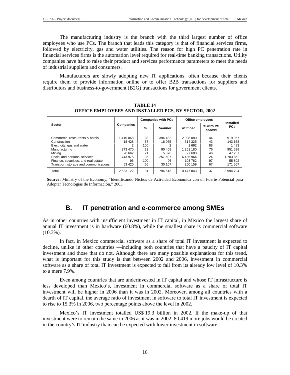The manufacturing industry is the branch with the third largest number of office employees who use PCs. The branch that leads this category is that of financial services firms, followed by electricity, gas and water utilities. The reason for high PC penetration rate in financial services firms is the automation level required for real-time banking transactions. Utility companies have had to raise their product and services performance parameters to meet the needs of industrial suppliers and consumers.

Manufacturers are slowly adopting new IT applications, often because their clients require them to provide information online or to offer B2B transactions for suppliers and distributors and business-to-government (B2G) transactions for government clients.

| <b>Sector</b>                         |                  | <b>Companies with PCs</b> |               | Office employees |                     |                         |
|---------------------------------------|------------------|---------------------------|---------------|------------------|---------------------|-------------------------|
|                                       | <b>Companies</b> | %                         | <b>Number</b> | <b>Number</b>    | % with PC<br>access | Installed<br><b>PCs</b> |
| Commerce, restaurants & hotels        | 1415068          | 28                        | 394 432       | 2 008 080        | 44                  | 919 957                 |
| Construction                          | 18 428           | 87                        | 16 085        | 314 325          | 43                  | 143 168                 |
| Electricity, gas and water            |                  | 100                       |               | 1692             | 88                  | 1 4 8 3                 |
| Manufacturing                         | 273 470          | 33                        | 90 408        | 1 251 180        | 76                  | 951 698                 |
| Minina                                | 28 662           | 21                        | 5876          | 97 680           | 46                  | 47 267                  |
| Social and personal services          | 743 975          | 35                        | 257 607       | 6435964          | 24                  | 1 703 852               |
| Finance, securities, and real estate  | 96               | 100                       | 96            | 108 762          | 97                  | 55 802                  |
| Transport, storage and communications | 53 4 20          | 56                        | 30 107        | 260 159          | 67                  | 171 567                 |
| Total                                 | 2 533 122        | 31                        | 794 613       | 10 477 843       | 37                  | 3 994 794               |

**TABLE 14 OFFICE EMPLOYEES AND INSTALLED PCS, BY SECTOR, 2002** 

**Source:** Ministry of the Economy, "Identificando Nichos de Actividad Económica con un Fuerte Potencial para Adoptar Tecnologías de Información," 2003.

## **B. IT penetration and e-commerce among SMEs**

As in other countries with insufficient investment in IT capital, in Mexico the largest share of annual IT investment is in hardware (60.8%), while the smallest share is commercial software  $(10.3\%)$ .

In fact, in Mexico commercial software as a share of total IT investment is expected to decline, unlike in other countries —including both countries that have a paucity of IT capital investment and those that do not. Although there are many possible explanations for this trend, what is important for this study is that between 2002 and 2006, investment in commercial software as a share of total IT investment is expected to fall from its already low level of 10.3% to a mere 7.9%.

Even among countries that are underinvested in IT capital and whose IT infrastructure is less developed than Mexico's, investment in commercial software as a share of total IT investment will be higher in 2006 than it was in 2002. Moreover, among all countries with a dearth of IT capital, the average ratio of investment in software to total IT investment is expected to rise to 15.3% in 2006, two percentage points above the level in 2002.

Mexico's IT investment totalled US\$ 19.3 billion in 2002. If the make-up of that investment were to remain the same in 2006 as it was in 2002, 80,419 more jobs would be created in the country's IT industry than can be expected with lower investment in software.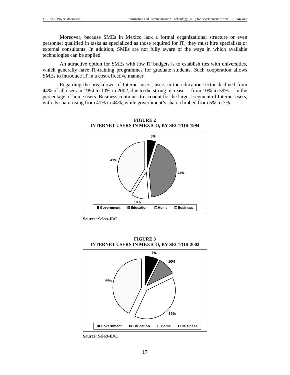Moreover, because SMEs in Mexico lack a formal organizational structure or even personnel qualified in tasks as specialized as those required for IT, they must hire specialists or external consultants. In addition, SMEs are not fully aware of the ways in which available technologies can be applied.

An attractive option for SMEs with low IT budgets is to establish ties with universities, which generally have IT-training programmes for graduate students. Such cooperation allows SMEs to introduce IT in a cost-effective manner.

Regarding the breakdown of Internet users, users in the education sector declined from 44% of all users in 1994 to 10% in 2002, due to the strong increase —from 10% to 39%— in the percentage of home users. Business continues to account for the largest segment of Internet users, with its share rising from 41% to 44%, while government's share climbed from 5% to 7%.

> **FIGURE 2 INTERNET USERS IN MEXICO, BY SECTOR 1994**



**Source:** Select-IDC.



**FIGURE 3 INTERNET USERS IN MEXICO, BY SECTOR 2002** 

**Source:** Select-IDC.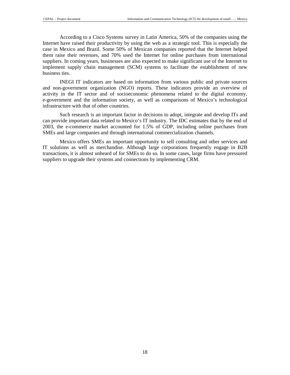According to a Cisco Systems survey in Latin America, 50% of the companies using the Internet have raised their productivity by using the web as a strategic tool. This is especially the case in Mexico and Brazil. Some 50% of Mexican companies reported that the Internet helped them raise their revenues, and 70% used the Internet for online purchases from international suppliers. In coming years, businesses are also expected to make significant use of the Internet to implement supply chain management (SCM) systems to facilitate the establishment of new business ties.

INEGI IT indicators are based on information from various public and private sources and non-government organization (NGO) reports. These indicators provide an overview of activity in the IT sector and of socioeconomic phenomena related to the digital economy, e-government and the information society, as well as comparisons of Mexico's technological infrastructure with that of other countries.

Such research is an important factor in decisions to adopt, integrate and develop ITs and can provide important data related to Mexico's IT industry. The IDC estimates that by the end of 2003, the e-commerce market accounted for 1.5% of GDP, including online purchases from SMEs and large companies and through international commercialization channels.

Mexico offers SMEs an important opportunity to sell consulting and other services and IT solutions as well as merchandise. Although large corporations frequently engage in B2B transactions, it is almost unheard of for SMEs to do so. In some cases, large firms have pressured suppliers to upgrade their systems and connections by implementing CRM.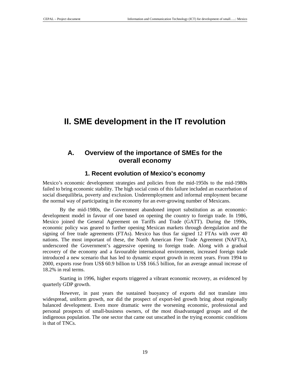# **II. SME development in the IT revolution**

## **A. Overview of the importance of SMEs for the overall economy**

### **1. Recent evolution of Mexico's economy**

Mexico's economic development strategies and policies from the mid-1950s to the mid-1980s failed to bring economic stability. The high social costs of this failure included an exacerbation of social disequilibria, poverty and exclusion. Underemployment and informal employment became the normal way of participating in the economy for an ever-growing number of Mexicans.

By the mid-1980s, the Government abandoned import substitution as an economicdevelopment model in favour of one based on opening the country to foreign trade. In 1986, Mexico joined the General Agreement on Tariffs and Trade (GATT). During the 1990s, economic policy was geared to further opening Mexican markets through deregulation and the signing of free trade agreements (FTAs). Mexico has thus far signed 12 FTAs with over 40 nations. The most important of these, the North American Free Trade Agreement (NAFTA), underscored the Government's aggressive opening to foreign trade. Along with a gradual recovery of the economy and a favourable international environment, increased foreign trade introduced a new scenario that has led to dynamic export growth in recent years. From 1994 to 2000, exports rose from US\$ 60.9 billion to US\$ 166.5 billion, for an average annual increase of 18.2% in real terms.

Starting in 1996, higher exports triggered a vibrant economic recovery, as evidenced by quarterly GDP growth.

However, in past years the sustained buoyancy of exports did not translate into widespread, uniform growth, nor did the prospect of export-led growth bring about regionally balanced development. Even more dramatic were the worsening economic, professional and personal prospects of small-business owners, of the most disadvantaged groups and of the indigenous population. The one sector that came out unscathed in the trying economic conditions is that of TNCs.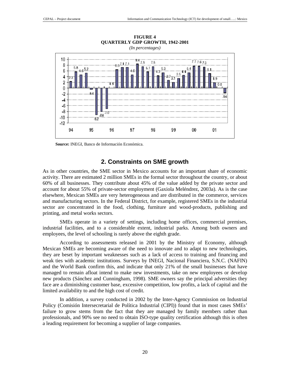

**FIGURE 4** 

**Source:** INEGI, Banco de Información Económica.

#### **2. Constraints on SME growth**

As in other countries, the SME sector in Mexico accounts for an important share of economic activity. There are estimated 2 million SMEs in the formal sector throughout the country, or about 60% of all businesses. They contribute about 45% of the value added by the private sector and account for about 55% of private-sector employment (Gaxiola Meléndrez, 2003a). As is the case elsewhere, Mexican SMEs are very heterogeneous and are distributed in the commerce, services and manufacturing sectors. In the Federal District, for example, registered SMEs in the industrial sector are concentrated in the food, clothing, furniture and wood-products, publishing and printing, and metal works sectors.

SMEs operate in a variety of settings, including home offices, commercial premises, industrial facilities, and to a considerable extent, industrial parks. Among both owners and employees, the level of schooling is rarely above the eighth grade.

According to assessments released in 2001 by the Ministry of Economy, although Mexican SMEs are becoming aware of the need to innovate and to adapt to new technologies, they are beset by important weaknesses such as a lack of access to training and financing and weak ties with academic institutions. Surveys by INEGI, Nacional Financiera, S.N.C. (NAFIN) and the World Bank confirm this, and indicate that only 21% of the small businesses that have managed to remain afloat intend to make new investments, take on new employees or develop new products (Sánchez and Cunningham, 1998). SME owners say the principal adversities they face are a diminishing customer base, excessive competition, low profits, a lack of capital and the limited availability to and the high cost of credit.

In addition, a survey conducted in 2002 by the Inter-Agency Commission on Industrial Policy (Comisión Intersecretarial de Política Industrial (CIPI)) found that in most cases SMEs' failure to grow stems from the fact that they are managed by family members rather than professionals, and 90% see no need to obtain ISO-type quality certification although this is often a leading requirement for becoming a supplier of large companies.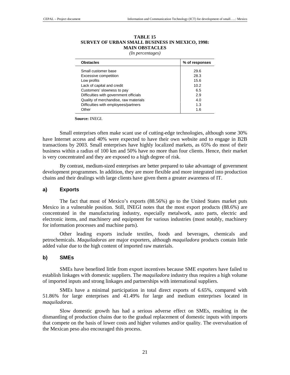| MAIN OBSTACLES<br>(In percentages) |  |  |  |  |
|------------------------------------|--|--|--|--|
| % of responses                     |  |  |  |  |
| 29.6                               |  |  |  |  |
| 28.3                               |  |  |  |  |
| 15.6                               |  |  |  |  |
| 10.2                               |  |  |  |  |
| 6.5                                |  |  |  |  |
| 2.9                                |  |  |  |  |
| 4.0                                |  |  |  |  |
| 1.3                                |  |  |  |  |
| 1.6                                |  |  |  |  |
|                                    |  |  |  |  |

#### **TABLE 15 SURVEY OF URBAN SMALL BUSINESS IN MEXICO, 1998: MAIN OBSTACLES**

**Source:** INEGI.

Small enterprises often make scant use of cutting-edge technologies, although some 30% have Internet access and 40% were expected to have their own website and to engage in B2B transactions by 2003. Small enterprises have highly localized markets, as 65% do most of their business within a radius of 100 km and 50% have no more than four clients. Hence, their market is very concentrated and they are exposed to a high degree of risk.

By contrast, medium-sized enterprises are better prepared to take advantage of government development programmes. In addition, they are more flexible and more integrated into production chains and their dealings with large clients have given them a greater awareness of IT.

#### **a) Exports**

The fact that most of Mexico's exports (88.56%) go to the United States market puts Mexico in a vulnerable position. Still, INEGI notes that the most export products (88.6%) are concentrated in the manufacturing industry, especially metalwork, auto parts, electric and electronic items, and machinery and equipment for various industries (most notably, machinery for information processes and machine parts).

Other leading exports include textiles, foods and beverages, chemicals and petrochemicals. *Maquiladoras* are major exporters, although *maquiladora* products contain little added value due to the high content of imported raw materials.

#### **b) SMEs**

SMEs have benefited little from export incentives because SME exporters have failed to establish linkages with domestic suppliers. The *maquiladora* industry thus requires a high volume of imported inputs and strong linkages and partnerships with international suppliers.

SMEs have a minimal participation in total direct exports of 6.65%, compared with 51.86% for large enterprises and 41.49% for large and medium enterprises located in *maquiladoras*.

Slow domestic growth has had a serious adverse effect on SMEs, resulting in the dismantling of production chains due to the gradual replacement of domestic inputs with imports that compete on the basis of lower costs and higher volumes and/or quality. The overvaluation of the Mexican peso also encouraged this process.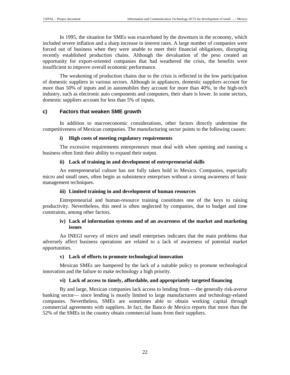In 1995, the situation for SMEs was exacerbated by the downturn in the economy, which included severe inflation and a sharp increase in interest rates. A large number of companies were forced out of business when they were unable to meet their financial obligations, disrupting recently established production chains. Although the devaluation of the peso created an opportunity for export-oriented companies that had weathered the crisis, the benefits were insufficient to improve overall economic performance.

The weakening of production chains due to the crisis is reflected in the low participation of domestic suppliers in various sectors. Although in appliances, domestic suppliers account for more than 50% of inputs and in automobiles they account for more than 40%, in the high-tech industry, such as electronic auto components and computers, their share is lower. In some sectors, domestic suppliers account for less than 5% of inputs.

#### **c) Factors that weaken SME growth**

In addition to macroeconomic considerations, other factors directly undermine the competitiveness of Mexican companies. The manufacturing sector points to the following causes:

#### **i) High costs of meeting regulatory requirements**

The excessive requirements entrepreneurs must deal with when opening and running a business often limit their ability to expand their output.

#### **ii) Lack of training in and development of entrepreneurial skills**

An entrepreneurial culture has not fully taken hold in Mexico. Companies, especially micro and small ones, often begin as subsistence enterprises without a strong awareness of basic management techniques.

#### **iii) Limited training in and development of human resources**

Entrepreneurial and human-resource training constitutes one of the keys to raising productivity. Nevertheless, this need is often neglected by companies, due to budget and time constraints, among other factors.

#### **iv) Lack of information systems and of an awareness of the market and marketing issues**

An INEGI survey of micro and small enterprises indicates that the main problems that adversely affect business operations are related to a lack of awareness of potential market opportunities.

#### **v) Lack of efforts to promote technological innovation**

Mexican SMEs are hampered by the lack of a suitable policy to promote technological innovation and the failure to make technology a high priority.

#### **vi) Lack of access to timely, affordable, and appropriately targeted financing**

By and large, Mexican companies lack access to lending from —the generally risk-averse banking sector— since lending is mostly limited to large manufacturers and technology-related companies. Nevertheless, SMEs are sometimes able to obtain working capital through commercial agreements with suppliers. In fact, the Banco de Mexico reports that more than the 52% of the SMEs in the country obtain commercial loans from their suppliers.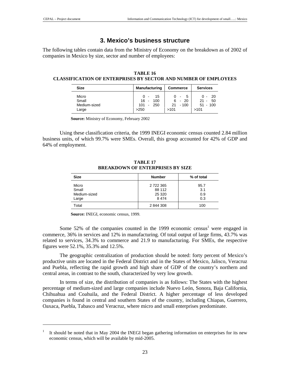$\overline{a}$ 

### **3. Mexico's business structure**

The following tables contain data from the Ministry of Economy on the breakdown as of 2002 of companies in Mexico by size, sector and number of employees:

| TABLE 16                                                               |
|------------------------------------------------------------------------|
| <b>CLASSIFICATION OF ENTERPRISES BY SECTOR AND NUMBER OF EMPLOYEES</b> |

| <b>Size</b>                             | <b>Manufacturing</b>                                             | <b>Commerce</b>                           | <b>Services</b>                                  |  |
|-----------------------------------------|------------------------------------------------------------------|-------------------------------------------|--------------------------------------------------|--|
| Micro<br>Small<br>Medium-sized<br>Large | 15<br>$0 -$<br>$16 -$<br>- 100<br>- 250<br>101<br>$\sim$<br>>250 | $0 - 5$<br>$6 - 20$<br>$21 - 100$<br>>101 | $0 - 20$<br>$21 -$<br>- 50<br>$51 - 100$<br>>101 |  |

**Source:** Ministry of Economy, February 2002

Using these classification criteria, the 1999 INEGI economic census counted 2.84 million business units, of which 99.7% were SMEs. Overall, this group accounted for 42% of GDP and 64% of employment.

**TABLE 17 BREAKDOWN OF ENTERPRISES BY SIZE** 

| <b>Size</b>  | <b>Number</b> | % of total |
|--------------|---------------|------------|
| Micro        | 2 722 365     | 95.7       |
| Small        | 88 112        | 3.1        |
| Medium-sized | 25 3 20       | 0.9        |
| Large        | 8474          | 0.3        |
| Total        | 2844308       | 100        |

**Source:** INEGI, economic census, 1999.

Some 52% of the companies counted in the 1999 economic census<sup>1</sup> were engaged in commerce, 36% in services and 12% in manufacturing. Of total output of large firms, 43.7% was related to services, 34.3% to commerce and 21.9 to manufacturing. For SMEs, the respective figures were 52.1%, 35.3% and 12.5%.

The geographic centralization of production should be noted: forty percent of Mexico's productive units are located in the Federal District and in the States of Mexico, Jalisco, Veracruz and Puebla, reflecting the rapid growth and high share of GDP of the country's northern and central areas, in contrast to the south, characterized by very low growth.

In terms of size, the distribution of companies is as follows: The States with the highest percentage of medium-sized and large companies include Nuevo León, Sonora, Baja California, Chihuahua and Coahuila, and the Federal District. A higher percentage of less developed companies is found in central and southern States of the country, including Chiapas, Guerrero, Oaxaca, Puebla, Tabasco and Veracruz, where micro and small enterprises predominate.

<sup>1</sup> It should be noted that in May 2004 the INEGI began gathering information on enterprises for its new economic census, which will be available by mid-2005.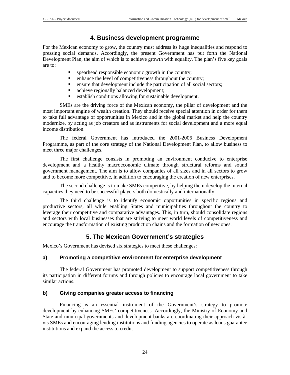## **4. Business development programme**

For the Mexican economy to grow, the country must address its huge inequalities and respond to pressing social demands. Accordingly, the present Government has put forth the National Development Plan, the aim of which is to achieve growth with equality. The plan's five key goals are to:

- spearhead responsible economic growth in the country;
- enhance the level of competitiveness throughout the country;
- ensure that development include the participation of all social sectors;
- achieve regionally balanced development;
- establish conditions allowing for sustainable development.

SMEs are the driving force of the Mexican economy, the pillar of development and the most important engine of wealth creation. They should receive special attention in order for them to take full advantage of opportunities in Mexico and in the global market and help the country modernize, by acting as job creators and as instruments for social development and a more equal income distribution.

The federal Government has introduced the 2001-2006 Business Development Programme, as part of the core strategy of the National Development Plan, to allow business to meet three major challenges.

The first challenge consists in promoting an environment conducive to enterprise development and a healthy macroeconomic climate through structural reforms and sound government management. The aim is to allow companies of all sizes and in all sectors to grow and to become more competitive, in addition to encouraging the creation of new enterprises.

The second challenge is to make SMEs competitive, by helping them develop the internal capacities they need to be successful players both domestically and internationally.

The third challenge is to identify economic opportunities in specific regions and productive sectors, all while enabling States and municipalities throughout the country to leverage their competitive and comparative advantages. This, in turn, should consolidate regions and sectors with local businesses that are striving to meet world levels of competitiveness and encourage the transformation of existing production chains and the formation of new ones.

## **5. The Mexican Government's strategies**

Mexico's Government has devised six strategies to meet these challenges:

### **a) Promoting a competitive environment for enterprise development**

The federal Government has promoted development to support competitiveness through its participation in different forums and through policies to encourage local government to take similar actions.

### **b) Giving companies greater access to financing**

Financing is an essential instrument of the Government's strategy to promote development by enhancing SMEs' competitiveness. Accordingly, the Ministry of Economy and State and municipal governments and development banks are coordinating their approach vis-àvis SMEs and encouraging lending institutions and funding agencies to operate as loans guarantee institutions and expand the access to credit.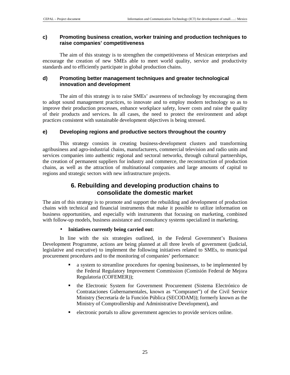#### **c) Promoting business creation, worker training and production techniques to raise companies' competitiveness**

The aim of this strategy is to strengthen the competitiveness of Mexican enterprises and encourage the creation of new SMEs able to meet world quality, service and productivity standards and to efficiently participate in global production chains.

### **d) Promoting better management techniques and greater technological innovation and development**

The aim of this strategy is to raise SMEs' awareness of technology by encouraging them to adopt sound management practices, to innovate and to employ modern technology so as to improve their production processes, enhance workplace safety, lower costs and raise the quality of their products and services. In all cases, the need to protect the environment and adopt practices consistent with sustainable development objectives is being stressed.

### **e) Developing regions and productive sectors throughout the country**

This strategy consists in creating business-development clusters and transforming agribusiness and agro-industrial chains, manufacturers, commercial television and radio units and services companies into authentic regional and sectoral networks, through cultural partnerships, the creation of permanent suppliers for industry and commerce, the reconstruction of production chains, as well as the attraction of multinational companies and large amounts of capital to regions and strategic sectors with new infrastructure projects.

## **6. Rebuilding and developing production chains to consolidate the domestic market**

The aim of this strategy is to promote and support the rebuilding and development of production chains with technical and financial instruments that make it possible to utilize information on business opportunities, and especially with instruments that focusing on marketing, combined with follow-up models, business assistance and consultancy systems specialized in marketing.

### • **Initiatives currently being carried out:**

In line with the six strategies outlined, in the Federal Government's Business Development Programme, actions are being planned at all three levels of government (judicial, legislative and executive) to implement the following initiatives related to SMEs, to municipal procurement procedures and to the monitoring of companies' performance:

- a system to streamline procedures for opening businesses, to be implemented by the Federal Regulatory Improvement Commission (Comisión Federal de Mejora Regulatoria (COFEMER));
- the Electronic System for Government Procurement (Sistema Electrónico de Contrataciones Gubernamentales, known as "Compranet") of the Civil Service Ministry (Secretaría de la Función Pública (SECODAM)); formerly known as the Ministry of Comptrollership and Administrative Development), and
- electronic portals to allow government agencies to provide services online.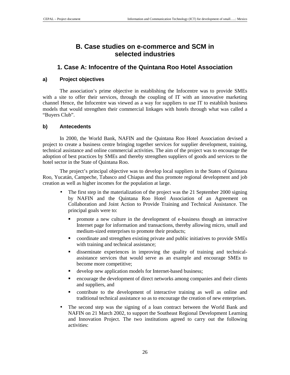## **B. Case studies on e-commerce and SCM in selected industries**

## **1. Case A: Infocentre of the Quintana Roo Hotel Association**

### **a) Project objectives**

The association's prime objective in establishing the Infocentre was to provide SMEs with a site to offer their services, through the coupling of IT with an innovative marketing channel Hence, the Infocentre was viewed as a way for suppliers to use IT to establish business models that would strengthen their commercial linkages with hotels through what was called a "Buyers Club".

### **b) Antecedents**

In 2000, the World Bank, NAFIN and the Quintana Roo Hotel Association devised a project to create a business centre bringing together services for supplier development, training, technical assistance and online commercial activities. The aim of the project was to encourage the adoption of best practices by SMEs and thereby strengthen suppliers of goods and services to the hotel sector in the State of Quintana Roo.

The project's principal objective was to develop local suppliers in the States of Quintana Roo, Yucatán, Campeche, Tabasco and Chiapas and thus promote regional development and job creation as well as higher incomes for the population at large.

- The first step in the materialization of the project was the 21 September 2000 signing by NAFIN and the Quintana Roo Hotel Association of an Agreement on Collaboration and Joint Action to Provide Training and Technical Assistance. The principal goals were to:
	- promote a new culture in the development of e-business though an interactive Internet page for information and transactions, thereby allowing micro, small and medium-sized enterprises to promote their products;
	- coordinate and strengthen existing private and public initiatives to provide SMEs with training and technical assistance;
	- disseminate experiences in improving the quality of training and technicalassistance services that would serve as an example and encourage SMEs to become more competitive;
	- develop new application models for Internet-based business;
	- encourage the development of direct networks among companies and their clients and suppliers, and
	- contribute to the development of interactive training as well as online and traditional technical assistance so as to encourage the creation of new enterprises.
- The second step was the signing of a loan contract between the World Bank and NAFIN on 21 March 2002, to support the Southeast Regional Development Learning and Innovation Project. The two institutions agreed to carry out the following activities: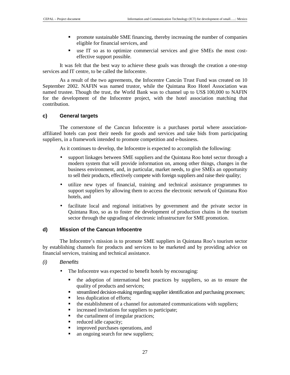- promote sustainable SME financing, thereby increasing the number of companies eligible for financial services, and
- use IT so as to optimize commercial services and give SMEs the most costeffective support possible.

It was felt that the best way to achieve these goals was through the creation a one-stop services and IT centre, to be called the Infocentre.

As a result of the two agreements, the Infocentre Cancún Trust Fund was created on 10 September 2002. NAFIN was named trustor, while the Quintana Roo Hotel Association was named trustee. Though the trust, the World Bank was to channel up to US\$ 100,000 to NAFIN for the development of the Infocentre project, with the hotel association matching that contribution.

### **c) General targets**

The cornerstone of the Cancun Infocentre is a purchases portal where associationaffiliated hotels can post their needs for goods and services and take bids from participating suppliers, in a framework intended to promote competition and e-business.

As it continues to develop, the Infocentre is expected to accomplish the following:

- support linkages between SME suppliers and the Quintana Roo hotel sector through a modern system that will provide information on, among other things, changes in the business environment, and, in particular, market needs, to give SMEs an opportunity to sell their products, effectively compete with foreign suppliers and raise their quality;
- utilize new types of financial, training and technical assistance programmes to support suppliers by allowing them to access the electronic network of Quintana Roo hotels, and
- facilitate local and regional initiatives by government and the private sector in Quintana Roo, so as to foster the development of production chains in the tourism sector through the upgrading of electronic infrastructure for SME promotion.

#### **d) Mission of the Cancun Infocentre**

The Infocentre's mission is to promote SME suppliers in Quintana Roo's tourism sector by establishing channels for products and services to be marketed and by providing advice on financial services, training and technical assistance.

- (i) Benefits
	- The Infocentre was expected to benefit hotels by encouraging:
		- the adoption of international best practices by suppliers, so as to ensure the quality of products and services;
		- streamlined decision-making regarding supplier identification and purchasing processes;
		- less duplication of efforts;
		- the establishment of a channel for automated communications with suppliers;
		- increased invitations for suppliers to participate;
		- $\blacksquare$ the curtailment of irregular practices;
		- reduced idle capacity;
		- improved purchases operations, and
		- an ongoing search for new suppliers;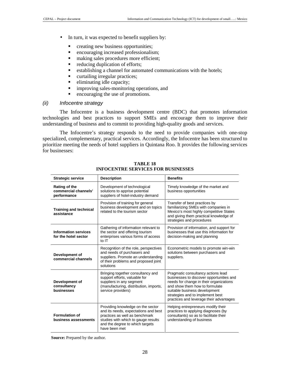- In turn, it was expected to benefit suppliers by:
	- creating new business opportunities;
	- encouraging increased professionalism;
	- making sales procedures more efficient;
	- reducing duplication of efforts;
	- establishing a channel for automated communications with the hotels;
	- curtailing irregular practices;
	- eliminating idle capacity;
	- improving sales-monitoring operations, and
	- encouraging the use of promotions.

#### (ii) Infocentre strategy

The Infocentre is a business development centre (BDC) that promotes information technologies and best practices to support SMEs and encourage them to improve their understanding of business and to commit to providing high-quality goods and services.

The Infocentre's strategy responds to the need to provide companies with one-stop specialized, complementary, practical services. Accordingly, the Infocentre has been structured to prioritize meeting the needs of hotel suppliers in Quintana Roo. It provides the following services for businesses:

| <b>Strategic service</b>                             | <b>Description</b>                                                                                                                                                                                     | <b>Benefits</b>                                                                                                                                                                                                                                                             |
|------------------------------------------------------|--------------------------------------------------------------------------------------------------------------------------------------------------------------------------------------------------------|-----------------------------------------------------------------------------------------------------------------------------------------------------------------------------------------------------------------------------------------------------------------------------|
| Rating of the<br>commercial channels'<br>performance | Development of technological<br>solutions to apprise potential<br>suppliers of hotel-industry demand                                                                                                   | Timely knowledge of the market and<br>business opportunities                                                                                                                                                                                                                |
| <b>Training and technical</b><br>assistance          | Provision of training for general<br>business development and on topics<br>related to the tourism sector                                                                                               | Transfer of best practices by<br>familiarizing SMEs with companies in<br>Mexico's most highly competitive States<br>and giving them practical knowledge of<br>strategies and procedures                                                                                     |
| <b>Information services</b><br>for the hotel sector  | Gathering of information relevant to<br>the sector and offering tourism<br>enterprises various forms of access<br>to IT                                                                                | Provision of information, and support for<br>businesses that use this information for<br>decision-making and planning                                                                                                                                                       |
| Development of<br>commercial channels                | Recognition of the role, perspectives<br>and needs of purchasers and<br>suppliers. Promote an understanding<br>of their problems and proposed joint<br>solutions                                       | Econometric models to promote win-win<br>solutions between purchasers and<br>suppliers.                                                                                                                                                                                     |
| Development of<br>consultancy<br>businesses          | Bringing together consultancy and<br>support efforts, valuable for<br>suppliers in any segment<br>(manufacturing, distribution, imports,<br>service providers)                                         | Pragmatic consultancy actions lead<br>businesses to discover opportunities and<br>needs for change in their organizations<br>and show them how to formulate<br>suitable business development<br>strategies and to implement best<br>practices and leverage their advantages |
| <b>Formulation of</b><br>business assessments        | Providing knowledge on the sector<br>and its needs, expectations and best<br>practices as well as benchmark<br>studies with which to gauge results<br>and the degree to which targets<br>have been met | Helping entrepreneurs modify their<br>practices to applying diagnoses (by<br>consultants) so as to facilitate their<br>understanding of business                                                                                                                            |

**TABLE 18 INFOCENTRE SERVICES FOR BUSINESSES** 

**Source:** Prepared by the author.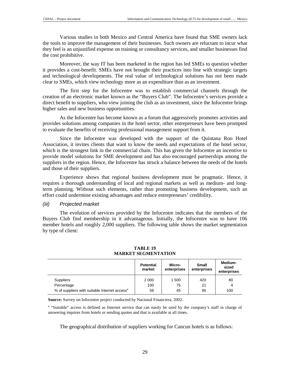Various studies in both Mexico and Central America have found that SME owners lack the tools to improve the management of their businesses. Such owners are reluctant to incur what they feel is an unjustified expense on training or consultancy services, and smaller businesses find the cost prohibitive.

Moreover, the way IT has been marketed in the region has led SMEs to question whether it provides a cost-benefit. SMEs have not brought their practices into line with strategic targets and technological developments. The real value of technological solutions has not been made clear to SMEs, which view technology more as an expenditure than as an investment.

The first step for the Infocentre was to establish commercial channels through the creation of an electronic market known as the "Buyers Club". The Infocentre's services provide a direct benefit to suppliers, who view joining the club as an investment, since the Infocentre brings higher sales and new business opportunities.

As the Infocentre has become known as a forum that aggressively promotes activities and provides solutions among companies in the hotel sector, other entrepreneurs have been prompted to evaluate the benefits of receiving professional management support from it.

Since the Infocentre was developed with the support of the Quintana Roo Hotel Association, it invites clients that want to know the needs and expectations of the hotel sector, which is the strongest link in the commercial chain. This has given the Infocentre an incentive to provide model solutions for SME development and has also encouraged partnerships among the suppliers in the region. Hence, the Infocentre has struck a balance between the needs of the hotels and those of their suppliers.

Experience shows that regional business development must be pragmatic. Hence, it requires a thorough understanding of local and regional markets as well as medium- and longterm planning. Without such elements, rather than promoting business development, such an effort could undermine existing advantages and reduce entrepreneurs' credibility.

#### (iii) Projected market

The evolution of services provided by the Infocentre indicates that the members of the Buyers Club find membership in it advantageous. Initially, the Infocentre was to have 106 member hotels and roughly 2,000 suppliers. The following table shows the market segmentation by type of client:

|                                                           | <b>Potential</b><br>market | Micro-<br>enterprises | <b>Small</b><br>enterprises | Medium-<br>sized<br>enterprises |
|-----------------------------------------------------------|----------------------------|-----------------------|-----------------------------|---------------------------------|
| <b>Suppliers</b>                                          | 2 0 0 0                    | 1 500                 | 420                         | 80                              |
| Percentage                                                | 100                        | 75                    | 21                          | 4                               |
| % of suppliers with suitable Internet access <sup>a</sup> | 58                         | 45                    | 95                          | 100                             |

#### **TABLE 19 MARKET SEGMENTATION**

**Source:** Survey on Infocentre project conducted by Nacional Financiera, 2002.

<sup>a</sup> "Suitable" access is defined as Internet service that can easily be used by the company's staff in charge of answering inquires from hotels or sending quotes and that is available at all times.

The geographical distribution of suppliers working for Cancun hotels is as follows: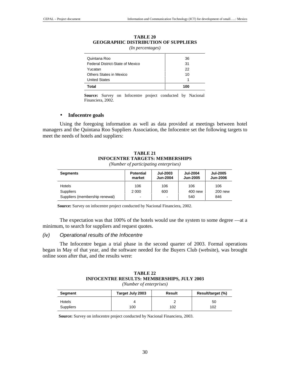| (In percentages)                 |     |  |
|----------------------------------|-----|--|
| Quintana Roo                     | 36  |  |
| Federal District-State of Mexico | 31  |  |
| Yucatan                          | 22  |  |
| Others States in Mexico          | 10  |  |
| <b>United States</b>             |     |  |
| <b>Total</b>                     | 100 |  |

**TABLE 20 GEOGRAPHIC DISTRIBUTION OF SUPPLIERS** 

**Source:** Survey on Infocentre project conducted by Nacional Financiera, 2002.

#### • **Infocentre goals**

Using the foregoing information as well as data provided at meetings between hotel managers and the Quintana Roo Suppliers Association, the Infocentre set the following targets to meet the needs of hotels and suppliers:

### **TABLE 21 INFOCENTRE TARGETS: MEMBERSHIPS**

*(Number of participating enterprises)* 

| <b>Segments</b>                | <b>Potential</b><br>market | <b>Jul-2003</b><br><b>Jun-2004</b> | <b>Jul-2004</b><br><b>Jun-2005</b> | <b>Jul-2005</b><br><b>Jun-2006</b> |
|--------------------------------|----------------------------|------------------------------------|------------------------------------|------------------------------------|
| Hotels                         | 106                        | 106                                | 106                                | 106                                |
| <b>Suppliers</b>               | 2 0 0 0                    | 600                                | 400 new                            | 200 new                            |
| Suppliers (membership renewal) | $\overline{\phantom{a}}$   | -                                  | 540                                | 846                                |

**Source:** Survey on infocentre project conducted by Nacional Financiera, 2002.

The expectation was that 100% of the hotels would use the system to some degree —at a minimum, to search for suppliers and request quotes.

#### (iv) Operational results of the Infocentre

The Infocentre began a trial phase in the second quarter of 2003. Formal operations began in May of that year, and the software needed for the Buyers Club (website), was brought online soon after that, and the results were:

| TABLE 22                                   |  |  |  |
|--------------------------------------------|--|--|--|
| INFOCENTRE RESULTS: MEMBERSHIPS, JULY 2003 |  |  |  |
| (Number of enterprises)                    |  |  |  |

| Segment          | Target July 2003 | Result | Result/target (%) |
|------------------|------------------|--------|-------------------|
| Hotels           |                  |        | 50                |
| <b>Suppliers</b> | 100              | 102    | 102               |

**Source:** Survey on infocentre project conducted by Nacional Financiera, 2003.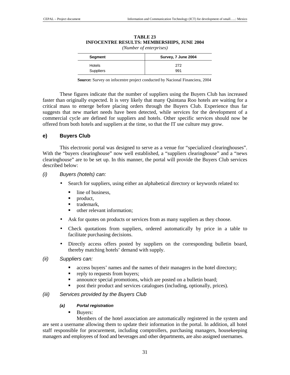| (Number of enterprises) |                     |  |
|-------------------------|---------------------|--|
| Segment                 | Survey, 7 June 2004 |  |
| Hotels                  | 272                 |  |
| Suppliers               | 991                 |  |

### **TABLE 23 INFOCENTRE RESULTS: MEMBERSHIPS, JUNE 2004**

*(Number of enterprises)* 

**Source:** Survey on infocentre project conducted by Nacional Financiera, 2004

These figures indicate that the number of suppliers using the Buyers Club has increased faster than originally expected. It is very likely that many Quintana Roo hotels are waiting for a critical mass to emerge before placing orders through the Buyers Club. Experience thus far suggests that new market needs have been detected, while services for the development of a commercial cycle are defined for suppliers and hotels. Other specific services should now be offered from both hotels and suppliers at the time, so that the IT use culture may grow.

### **e) Buyers Club**

This electronic portal was designed to serve as a venue for "specialized clearinghouses". With the "buyers clearinghouse" now well established, a "suppliers clearinghouse" and a "news" clearinghouse" are to be set up. In this manner, the portal will provide the Buyers Club services described below:

#### (i) Buyers (hotels) can:

- Search for suppliers, using either an alphabetical directory or keywords related to:
	- line of business,
	- product,
	- trademark,
	- other relevant information;
- Ask for quotes on products or services from as many suppliers as they choose.
- Check quotations from suppliers, ordered automatically by price in a table to facilitate purchasing decisions.
- Directly access offers posted by suppliers on the corresponding bulletin board, thereby matching hotels' demand with supply.

#### (ii) Suppliers can:

- access buyers' names and the names of their managers in the hotel directory;
- reply to requests from buyers;
- announce special promotions, which are posted on a bulletin board;
- post their product and services catalogues (including, optionally, prices).

### (iii) Services provided by the Buyers Club

#### **(a) Portal registration**

-Buyers:

 Members of the hotel association are automatically registered in the system and are sent a username allowing them to update their information in the portal. In addition, all hotel staff responsible for procurement, including comptrollers, purchasing managers, housekeeping managers and employees of food and beverages and other departments, are also assigned usernames.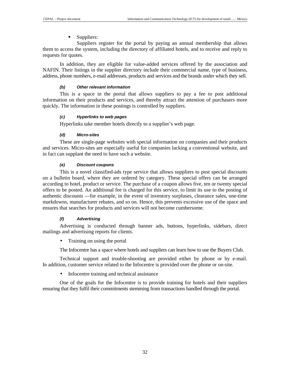#### -Suppliers:

 Suppliers register for the portal by paying an annual membership that allows them to access the system, including the directory of affiliated hotels, and to receive and reply to requests for quotes.

In addition, they are eligible for value-added services offered by the association and NAFIN. Their listings in the supplier directory include their commercial name, type of business, address, phone numbers, e-mail addresses, products and services and the brands under which they sell.

#### **(b) Other relevant information**

This is a space in the portal that allows suppliers to pay a fee to post additional information on their products and services, and thereby attract the attention of purchasers more quickly. The information in these postings is controlled by suppliers.

#### **(c) Hyperlinks to web pages**

Hyperlinks take member hotels directly to a supplier's web page.

#### **(d) Micro-sites**

These are single-page websites with special information on companies and their products and services. Micro-sites are especially useful for companies lacking a conventional website, and in fact can supplant the need to have such a website.

#### **(e) Discount coupons**

This is a novel classified-ads type service that allows suppliers to post special discounts on a bulletin board, where they are ordered by category. These special offers can be arranged according to hotel, product or service. The purchase of a coupon allows five, ten or twenty special offers to be posted. An additional fee is charged for this service, to limit its use to the posting of authentic discounts —for example, in the event of inventory surpluses, clearance sales, one-time markdowns, manufacturer rebates, and so on. Hence, this prevents excessive use of the space and ensures that searches for products and services will not become cumbersome.

#### **(f) Advertising**

Advertising is conducted through banner ads, buttons, hyperlinks, sidebars, direct mailings and advertising reports for clients.

• Training on using the portal

The Infocentre has a space where hotels and suppliers can learn how to use the Buyers Club.

Technical support and trouble-shooting are provided either by phone or by e-mail. In addition, customer service related to the Infocentre is provided over the phone or on-site.

• Infocentre training and technical assistance

One of the goals for the Infocentre is to provide training for hotels and their suppliers ensuring that they fulfil their commitments stemming from transactions handled through the portal.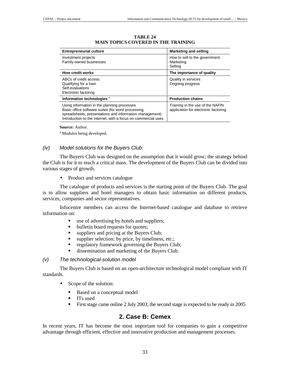| <b>Entrepreneurial culture</b>                                                                                                                                                                                                | <b>Marketing and selling</b>                                             |
|-------------------------------------------------------------------------------------------------------------------------------------------------------------------------------------------------------------------------------|--------------------------------------------------------------------------|
| Investment projects<br>Family-owned businesses                                                                                                                                                                                | How to sell to the government:<br>Marketing<br>Selling                   |
| <b>How credit works</b>                                                                                                                                                                                                       | The importance of quality                                                |
| ABCs of credit access:<br>Qualifying for a loan<br>Self-evaluations<br>Electronic factoring                                                                                                                                   | Quality in services<br>Ongoing progress                                  |
| Information technologies <sup>a</sup>                                                                                                                                                                                         | <b>Production chains</b>                                                 |
| Using information in the planning processes<br>Basic office software suites (for word processing,<br>spreadsheets, presentations and information management)<br>Introduction to the Internet, with a focus on commercial uses | Training in the use of the NAFIN<br>application for electronic factoring |

#### **TABLE 24 MAIN TOPICS COVERED IN THE TRAINING**

**Source:** Author.

<sup>a</sup> Modules being developed.

#### (iv) Model solutions for the Buyers Club:

The Buyers Club was designed on the assumption that it would grow; the strategy behind the Club is for it to reach a critical mass. The development of the Buyers Club can be divided into various stages of growth.

• Product and services catalogue

The catalogue of products and services is the starting point of the Buyers Club. The goal is to allow suppliers and hotel managers to obtain basic information on different products, services, companies and sector representatives.

Infocentre members can access the Internet-based catalogue and database to retrieve information on:

- use of advertising by hotels and suppliers;
- bulletin board requests for quotes;
- suppliers and pricing at the Buyers Club;
- supplier selection: by price, by timeliness, etc.;
- regulatory framework governing the Buyers Club;
- dissemination and marketing of the Buyers Club.

#### (v) The technological-solution model

The Buyers Club is based on an open-architecture technological model compliant with IT standards.

- Scope of the solution:
	- -Based on a conceptual model
	- -ITs used
	- -First stage came online 2 July 2003; the second stage is expected to be ready in 2005

### **2. Case B: Cemex**

In recent years, IT has become the most important tool for companies to gain a competitive advantage through efficient, effective and innovative production and management processes.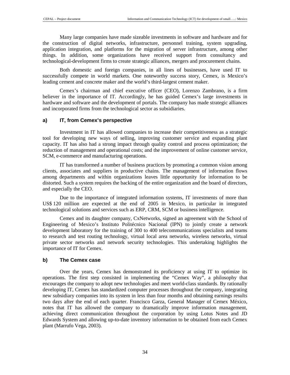Many large companies have made sizeable investments in software and hardware and for the construction of digital networks, infrastructure, personnel training, system upgrading, application integration, and platforms for the migration of server infrastructure, among other things. In addition, some organizations have received support from consultancy and technological-development firms to create strategic alliances, mergers and procurement chains.

Both domestic and foreign companies, in all lines of businesses, have used IT to successfully compete in world markets. One noteworthy success story, Cemex, is Mexico's leading cement and concrete maker and the world's third-largest cement maker.

Cemex's chairman and chief executive officer (CEO), Lorenzo Zambrano, is a firm believer in the importance of IT. Accordingly, he has guided Cemex's large investments in hardware and software and the development of portals. The company has made strategic alliances and incorporated firms from the technological sector as subsidiaries.

#### **a) IT, from Cemex's perspective**

Investment in IT has allowed companies to increase their competitiveness as a strategic tool for developing new ways of selling, improving customer service and expanding plant capacity. IT has also had a strong impact through quality control and process optimization; the reduction of management and operational costs; and the improvement of online customer service, SCM, e-commerce and manufacturing operations.

IT has transformed a number of business practices by promoting a common vision among clients, associates and suppliers in productive chains. The management of information flows among departments and within organizations leaves little opportunity for information to be distorted. Such a system requires the backing of the entire organization and the board of directors, and especially the CEO.

Due to the importance of integrated information systems, IT investments of more than US\$ 120 million are expected at the end of 2005 in Mexico, in particular in integrated technological solutions and services such as ERP, CRM, SCM or business intelligence.

Cemex and its daughter company, CxNetworks, signed an agreement with the School of Engineering of Mexico's Instituto Politécnico Nacional (IPN) to jointly create a network development laboratory for the training of 300 to 400 telecommunications specialists and teams to research and test routing technology, virtual local area networks, wireless networks, virtual private sector networks and network security technologies. This undertaking highlights the importance of IT for Cemex.

#### **b) The Cemex case**

Over the years, Cemex has demonstrated its proficiency at using IT to optimize its operations. The first step consisted in implementing the "Cemex Way", a philosophy that encourages the company to adopt new technologies and meet world-class standards. By rationally developing IT, Cemex has standardized computer processes throughout the company, integrating new subsidiary companies into its system in less than four months and obtaining earnings results two days after the end of each quarter. Francisco Garza, General Manager of Cemex México, notes that IT has allowed the company to dramatically improve information management, achieving direct communication throughout the corporation by using Lotus Notes and JD Edwards System and allowing up-to-date inventory information to be obtained from each Cemex plant (Marrufo Vega, 2003).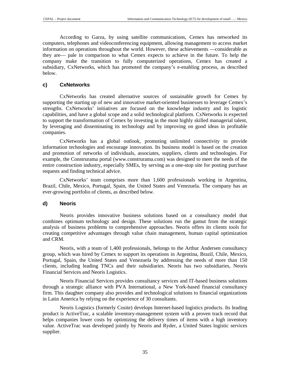According to Garza, by using satellite communications, Cemex has networked its computers, telephones and videoconferencing equipment, allowing management to access market information on operations throughout the world. However, these achievements —considerable as they are— pale in comparison to what Cemex expects to achieve in the future. To help the company make the transition to fully computerized operations, Cemex has created a subsidiary, CxNetworks, which has promoted the company's e-enabling process, as described below.

### **c) CxNetworks**

CxNetworks has created alternative sources of sustainable growth for Cemex by supporting the starting up of new and innovative market-oriented businesses to leverage Cemex's strengths. CxNetworks' initiatives are focused on the knowledge industry and its logistic capabilities, and have a global scope and a solid technological platform. CxNetworks is expected to support the transformation of Cemex by investing in the most highly skilled managerial talent, by leveraging and disseminating its technology and by improving on good ideas in profitable companies.

CxNetworks has a global outlook, promoting unlimited connectivity to provide information technologies and encourage innovation. Its business model is based on the creation and promotion of networks of individuals, associates, suppliers, clients and technologies. For example, the Construrama portal (www.construrama.com) was designed to meet the needs of the entire construction industry, especially SMEs, by serving as a one-stop site for posting purchase requests and finding technical advice.

CxNetworks' team comprises more than 1,600 professionals working in Argentina, Brazil, Chile, Mexico, Portugal, Spain, the United States and Venezuela. The company has an ever-growing portfolio of clients, as described below.

#### **d) Neoris**

Neoris provides innovative business solutions based on a consultancy model that combines optimum technology and design. These solutions run the gamut from the strategic analysis of business problems to comprehensive approaches. Neoris offers its clients tools for creating competitive advantages through value chain management, human capital optimization and CRM.

Neoris, with a team of 1,400 professionals, belongs to the Arthur Andersen consultancy group, which was hired by Cemex to support its operations in Argentina, Brazil, Chile, Mexico, Portugal, Spain, the United States and Venezuela by addressing the needs of more than 150 clients, including leading TNCs and their subsidiaries. Neoris has two subsidiaries, Neoris Financial Services and Neoris Logistics.

Neoris Financial Services provides consultancy services and IT-based business solutions through a strategic alliance with PVA International, a New York-based financial consultancy firm. This daughter company also provides and technological solutions to financial organizations in Latin America by relying on the experience of 30 consultants.

Neoris Logistics (formerly Cosite) develops Internet-based logistics products. Its leading product is ActiveTrac, a scalable inventory-management system with a proven track record that helps companies lower costs by optimizing the delivery times of items with a high inventory value. ActiveTrac was developed jointly by Neoris and Ryder, a United States logistic services supplier.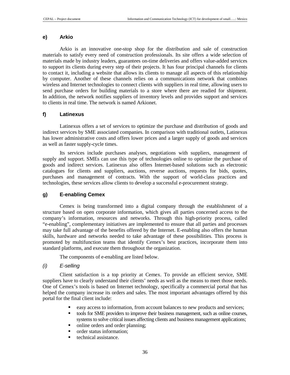#### **e) Arkio**

Arkio is an innovative one-stop shop for the distribution and sale of construction materials to satisfy every need of construction professionals. Its site offers a wide selection of materials made by industry leaders, guarantees on-time deliveries and offers value-added services to support its clients during every step of their projects. It has four principal channels for clients to contact it, including a website that allows its clients to manage all aspects of this relationship by computer. Another of these channels relies on a communications network that combines wireless and Internet technologies to connect clients with suppliers in real time, allowing users to send purchase orders for building materials to a store where there are readied for shipment. In addition, the network notifies suppliers of inventory levels and provides support and services to clients in real time. The network is named Arkionet.

#### **f) Latinexus**

Latinexus offers a set of services to optimize the purchase and distribution of goods and indirect services by SME associated companies. In comparison with traditional outlets, Latinexus has lower administrative costs and offers lower prices and a larger supply of goods and services as well as faster supply-cycle times.

Its services include purchases analyses, negotiations with suppliers, management of supply and support. SMEs can use this type of technologies online to optimize the purchase of goods and indirect services. Latinexus also offers Internet-based solutions such as electronic catalogues for clients and suppliers, auctions, reverse auctions, requests for bids, quotes, purchases and management of contracts. With the support of world-class practices and technologies, these services allow clients to develop a successful e-procurement strategy.

#### **g) E-enabling Cemex**

Cemex is being transformed into a digital company through the establishment of a structure based on open corporate information, which gives all parties concerned access to the company's information, resources and networks. Through this high-priority process, called "e-enabling", complementary initiatives are implemented to ensure that all parties and processes may take full advantage of the benefits offered by the Internet. E-enabling also offers the human skills, hardware and networks needed to take advantage of these possibilities. This process is promoted by multifunction teams that identify Cemex's best practices, incorporate them into standard platforms, and execute them throughout the organization.

The components of e-enabling are listed below.

#### (i) E-selling

Client satisfaction is a top priority at Cemex. To provide an efficient service, SME suppliers have to clearly understand their clients' needs as well as the means to meet those needs. One of Cemex's tools is based on Internet technology, specifically a commercial portal that has helped the company increase its orders and sales. The most important advantages offered by this portal for the final client include:

- easy access to information, from account balances to new products and services;
- tools for SME providers to improve their business management, such as online courses, systems to solve critical issues affecting clients and business management applications;
- online orders and order planning;
- order status information;
- technical assistance.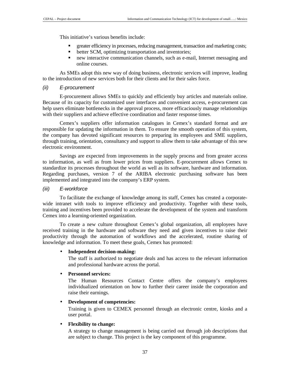This initiative's various benefits include:

- greater efficiency in processes, reducing management, transaction and marketing costs;
- better SCM, optimizing transportation and inventories;
- new interactive communication channels, such as e-mail, Internet messaging and online courses.

As SMEs adopt this new way of doing business, electronic services will improve, leading to the introduction of new services both for their clients and for their sales force.

#### (ii) E-procurement

E-procurement allows SMEs to quickly and efficiently buy articles and materials online. Because of its capacity for customized user interfaces and convenient access, e-procurement can help users eliminate bottlenecks in the approval process, more efficaciously manage relationships with their suppliers and achieve effective coordination and faster response times.

Cemex's suppliers offer information catalogues in Cemex's standard format and are responsible for updating the information in them. To ensure the smooth operation of this system, the company has devoted significant resources to preparing its employees and SME suppliers, through training, orientation, consultancy and support to allow them to take advantage of this new electronic environment.

Savings are expected from improvements in the supply process and from greater access to information, as well as from lower prices from suppliers. E-procurement allows Cemex to standardize its processes throughout the world as well as its software, hardware and information. Regarding purchases, version 7 of the ARIBA electronic purchasing software has been implemented and integrated into the company's ERP system.

#### (iii) E-workforce

To facilitate the exchange of knowledge among its staff, Cemex has created a corporatewide intranet with tools to improve efficiency and productivity. Together with these tools, training and incentives been provided to accelerate the development of the system and transform Cemex into a learning-oriented organization.

To create a new culture throughout Cemex's global organization, all employees have received training in the hardware and software they need and given incentives to raise their productivity through the automation of workflows and the accelerated, routine sharing of knowledge and information. To meet these goals, Cemex has promoted:

#### • **Independent decision-making:**

The staff is authorized to negotiate deals and has access to the relevant information and professional hardware across the portal.

#### • **Personnel services:**

The Human Resources Contact Centre offers the company's employees individualized orientation on how to further their career inside the corporation and raise their earnings.

#### • **Development of competencies:**

Training is given to CEMEX personnel through an electronic centre, kiosks and a user portal.

#### • **Flexibility to change:**

A strategy to change management is being carried out through job descriptions that are subject to change. This project is the key component of this programme.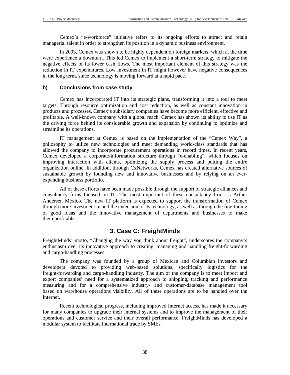Cemex's "e-workforce" initiative refers to its ongoing efforts to attract and retain managerial talent in order to strengthen its position in a dynamic business environment.

In 2003, Cemex was shown to be highly dependent on foreign markets, which at the time were experience a downturn. This led Cemex to implement a short-term strategy to mitigate the negative effects of its lower cash flows. The most important element of this strategy was the reduction in IT expenditures. Low investment in IT might however have negative consequences in the long term, since technology is moving forward at a rapid pace.

#### **h) Conclusions from case study**

Cemex has incorporated IT into its strategic plans, transforming it into a tool to meet targets. Through resource optimization and cost reduction, as well as constant innovation in products and processes, Cemex's subsidiary companies have become more efficient, effective and profitable. A well-known company with a global reach, Cemex has shown its ability to use IT as the driving force behind its considerable growth and expansion by continuing to optimize and streamline its operations.

IT management at Cemex is based on the implementation of the "Cemex Way", a philosophy to utilize new technologies and meet demanding world-class standards that has allowed the company to incorporate procurement operations in record times. In recent years, Cemex developed a corporate-information structure through "e-enabling", which focuses on improving interaction with clients, optimizing the supply process and putting the entire organization online. In addition, through CxNetworks, Cemex has created alternative sources of sustainable growth by founding new and innovative businesses and by relying on an everexpanding business portfolio.

All of these efforts have been made possible through the support of strategic alliances and consultancy firms focused on IT. The most important of these consultancy firms is Arthur Andersen México. The new IT platform is expected to support the transformation of Cemex through more investment in and the extension of its technology, as well as through the fine-tuning of good ideas and the innovative management of departments and businesses to make them profitable.

## **3. Case C: FreightMinds**

FreightMinds' motto, "Changing the way you think about freight", underscores the company's enthusiasm over its innovative approach to creating, managing and handling freight-forwarding and cargo-handling processes.

The company was founded by a group of Mexican and Columbian investors and developers devoted to providing web-based solutions, specifically logistics for the freight-forwarding and cargo-handling industry. The aim of the company is to meet import and export companies' need for a systematized approach to shipping, tracking and performance measuring and for a comprehensive industry- and customer-database management tool based on warehouse operations visibility. All of these operations are to be handled over the Internet.

Recent technological progress, including improved Internet access, has made it necessary for many companies to upgrade their internal systems and to improve the management of their operations and customer service and their overall performance. FreightMinds has developed a modular system to facilitate international trade by SMEs.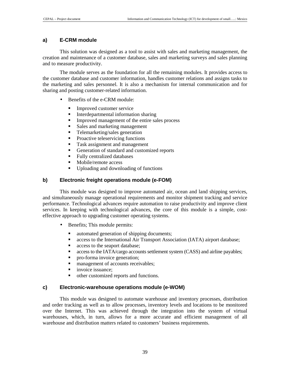#### **a) E-CRM module**

This solution was designed as a tool to assist with sales and marketing management, the creation and maintenance of a customer database, sales and marketing surveys and sales planning and to measure productivity.

The module serves as the foundation for all the remaining modules. It provides access to the customer database and customer information, handles customer relations and assigns tasks to the marketing and sales personnel. It is also a mechanism for internal communication and for sharing and posting customer-related information.

- Benefits of the e-CRM module:
	- -Improved customer service
	- -Interdepartmental information sharing
	- -Improved management of the entire sales process
	- -Sales and marketing management
	- -Telemarketing/sales generation
	- -Proactive teleservicing functions
	- -Task assignment and management
	- -Generation of standard and customized reports
	- -Fully centralized databases
	- -Mobile/remote access
	- -Uploading and downloading of functions

#### **b) Electronic freight operations module (e-FOM)**

This module was designed to improve automated air, ocean and land shipping services, and simultaneously manage operational requirements and monitor shipment tracking and service performance. Technological advances require automation to raise productivity and improve client services. In keeping with technological advances, the core of this module is a simple, costeffective approach to upgrading customer operating systems.

- Benefits; This module permits:
	- automated generation of shipping documents;
	- access to the International Air Transport Association (IATA) airport database;
	- access to the seaport database;
	- access to the IATA/cargo accounts settlement system (CASS) and airline payables;
	- pro-forma invoice generation;
	- management of accounts receivables;
	- invoice issuance;
	- other customized reports and functions.

#### **c) Electronic-warehouse operations module (e-WOM)**

This module was designed to automate warehouse and inventory processes, distribution and order tracking as well as to allow processes, inventory levels and locations to be monitored over the Internet. This was achieved through the integration into the system of virtual warehouses, which, in turn, allows for a more accurate and efficient management of all warehouse and distribution matters related to customers' business requirements.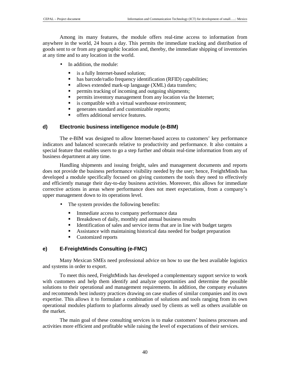Among its many features, the module offers real-time access to information from anywhere in the world, 24 hours a day. This permits the immediate tracking and distribution of goods sent to or from any geographic location and, thereby, the immediate shipping of inventories at any time and to any location in the world.

- In addition, the module:
	- is a fully Internet-based solution;
	- $\blacksquare$ has barcode/radio frequency identification (RFID) capabilities;
	- allows extended mark-up language (XML) data transfers;
	- permits tracking of incoming and outgoing shipments;
	- permits inventory management from any location via the Internet;
	- is compatible with a virtual warehouse environment;
	- generates standard and customizable reports;
	- offers additional service features.

#### **d) Electronic business intelligence module (e-BIM)**

The e-BIM was designed to allow Internet-based access to customers' key performance indicators and balanced scorecards relative to productivity and performance. It also contains a special feature that enables users to go a step further and obtain real-time information from any of business department at any time.

Handling shipments and issuing freight, sales and management documents and reports does not provide the business performance visibility needed by the user; hence, FreightMinds has developed a module specifically focused on giving customers the tools they need to effectively and efficiently manage their day-to-day business activities. Moreover, this allows for immediate corrective actions in areas where performance does not meet expectations, from a company's upper management down to its operations level.

- The system provides the following benefits:
	- -Immediate access to company performance data
	- -Breakdown of daily, monthly and annual business results
	- -Identification of sales and service items that are in line with budget targets
	- -Assistance with maintaining historical data needed for budget preparation
	- -Customized reports

#### **e) E-FreightMinds Consulting (e-FMC)**

Many Mexican SMEs need professional advice on how to use the best available logistics and systems in order to export.

To meet this need, FreightMinds has developed a complementary support service to work with customers and help them identify and analyze opportunities and determine the possible solutions to their operational and management requirements. In addition, the company evaluates and recommends best industry practices drawing on case studies of similar companies and its own expertise. This allows it to formulate a combination of solutions and tools ranging from its own operational modules platform to platforms already used by clients as well as others available on the market.

The main goal of these consulting services is to make customers' business processes and activities more efficient and profitable while raising the level of expectations of their services.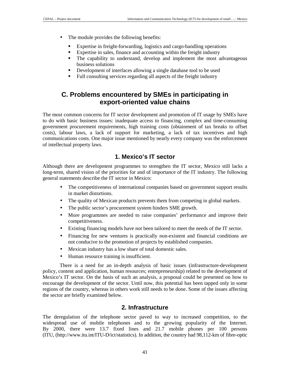- The module provides the following benefits:
	- -Expertise in freight-forwarding, logistics and cargo-handling operations
	- -Expertise in sales, finance and accounting within the freight industry
	- - The capability to understand, develop and implement the most advantageous business solutions
	- -Development of interfaces allowing a single database tool to be used
	- -Full consulting services regarding all aspects of the freight industry

## **C. Problems encountered by SMEs in participating in export-oriented value chains**

The most common concerns for IT sector development and promotion of IT usage by SMEs have to do with basic business issues: inadequate access to financing, complex and time-consuming government procurement requirements, high training costs (obtainment of tax breaks to offset costs), labour laws, a lack of support for marketing, a lack of tax incentives and high communications costs. One major issue mentioned by nearly every company was the enforcement of intellectual property laws.

## **1. Mexico's IT sector**

Although there are development programmes to strengthen the IT sector, Mexico still lacks a long-term, shared vision of the priorities for and of importance of the IT industry. The following general statements describe the IT sector in Mexico:

- The competitiveness of international companies based on government support results in market distortions.
- The quality of Mexican products prevents them from competing in global markets.
- The public sector's procurement system hinders SME growth.
- More programmes are needed to raise companies' performance and improve their competitiveness.
- Existing financing models have not been tailored to meet the needs of the IT sector.
- Financing for new ventures is practically non-existent and financial conditions are not conducive to the promotion of projects by established companies.
- Mexican industry has a low share of total domestic sales.
- Human resource training is insufficient.

There is a need for an in-depth analysis of basic issues (infrastructure-development policy, content and application, human resources; entrepreneurship) related to the development of Mexico's IT sector. On the basis of such an analysis, a proposal could be presented on how to encourage the development of the sector. Until now, this potential has been tapped only in some regions of the country, whereas in others work still needs to be done. Some of the issues affecting the sector are briefly examined below.

### **2. Infrastructure**

The deregulation of the telephone sector paved to way to increased competition, to the widespread use of mobile telephones and to the growing popularity of the Internet. By 2000, there were 13.7 fixed lines and 21.7 mobile phones per 100 persons (ITU, (http://www.itu.int/ITU-D/ict/statistics). In addition, the country had 98,112-km of fibre-optic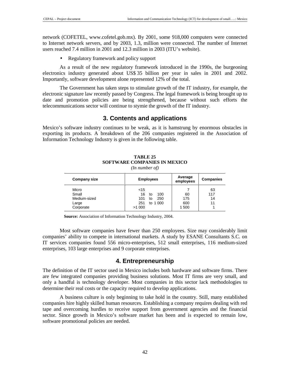network (COFETEL, www.cofetel.gob.mx). By 2001, some 918,000 computers were connected to Internet network servers, and by 2003, 1.3, million were connected. The number of Internet users reached 7.4 million in 2001 and 12.3 million in 2003 (ITU's website).

• Regulatory framework and policy support

As a result of the new regulatory framework introduced in the 1990s, the burgeoning electronics industry generated about US\$ 35 billion per year in sales in 2001 and 2002. Importantly, software development alone represented 12% of the total.

The Government has taken steps to stimulate growth of the IT industry, for example, the electronic signature law recently passed by Congress. The legal framework is being brought up to date and promotion policies are being strengthened, because without such efforts the telecommunications sector will continue to stymie the growth of the IT industry.

## **3. Contents and applications**

Mexico's software industry continues to be weak, as it is hamstrung by enormous obstacles in exporting its products. A breakdown of the 206 companies registered in the Association of Information Technology Industry is given in the following table.

|                                                      | $\cdot$                                                                   |                           |                       |
|------------------------------------------------------|---------------------------------------------------------------------------|---------------------------|-----------------------|
| <b>Company size</b>                                  | <b>Employees</b>                                                          | Average<br>employees      | <b>Companies</b>      |
| Micro<br>Small<br>Medium-sized<br>Large<br>Corporate | $<$ 15<br>16<br>100<br>to<br>250<br>101<br>to<br>to 1 000<br>251<br>>1000 | 60<br>175<br>600<br>1 500 | 63<br>117<br>14<br>11 |

## **TABLE 25 SOFTWARE COMPANIES IN MEXICO**

*(In number of)* 

**Source:** Association of Information Technology Industry, 2004.

Most software companies have fewer than 250 employees. Size may considerably limit companies' ability to compete in international markets. A study by ESANE Consultants S.C. on IT services companies found 556 micro-enterprises, 512 small enterprises, 116 medium-sized enterprises, 103 large enterprises and 9 corporate enterprises.

### **4. Entrepreneurship**

The definition of the IT sector used in Mexico includes both hardware and software firms. There are few integrated companies providing business solutions. Most IT firms are very small, and only a handful is technology developer. Most companies in this sector lack methodologies to determine their real costs or the capacity required to develop applications.

A business culture is only beginning to take hold in the country. Still, many established companies hire highly skilled human resources. Establishing a company requires dealing with red tape and overcoming hurdles to receive support from government agencies and the financial sector. Since growth in Mexico's software market has been and is expected to remain low, software promotional policies are needed.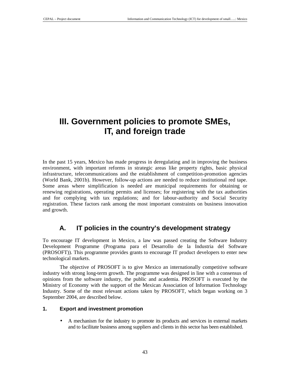# **III. Government policies to promote SMEs, IT, and foreign trade**

In the past 15 years, Mexico has made progress in deregulating and in improving the business environment, with important reforms in strategic areas like property rights, basic physical infrastructure, telecommunications and the establishment of competition-promotion agencies (World Bank, 2001b). However, follow-up actions are needed to reduce institutional red tape. Some areas where simplification is needed are municipal requirements for obtaining or renewing registrations, operating permits and licenses; for registering with the tax authorities and for complying with tax regulations; and for labour-authority and Social Security registration. These factors rank among the most important constraints on business innovation and growth.

## **A. IT policies in the country's development strategy**

To encourage IT development in Mexico, a law was passed creating the Software Industry Development Programme (Programa para el Desarrollo de la Industria del Software (PROSOFT)). This programme provides grants to encourage IT product developers to enter new technological markets.

The objective of PROSOFT is to give Mexico an internationally competitive software industry with strong long-term growth. The programme was designed in line with a consensus of opinions from the software industry, the public and academia. PROSOFT is executed by the Ministry of Economy with the support of the Mexican Association of Information Technology Industry. Some of the most relevant actions taken by PROSOFT, which began working on 3 September 2004, are described below.

#### **1. Export and investment promotion**

• A mechanism for the industry to promote its products and services in external markets and to facilitate business among suppliers and clients in this sector has been established.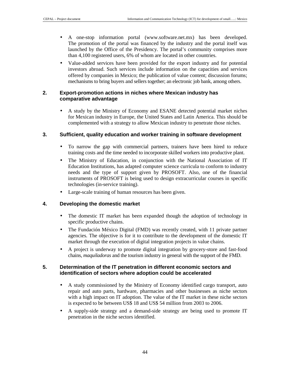- A one-stop information portal (www.software.net.mx) has been developed. The promotion of the portal was financed by the industry and the portal itself was launched by the Office of the Presidency. The portal's community comprises more than 4,100 registered users, 6% of whom are located in other countries.
- Value-added services have been provided for the export industry and for potential investors abroad. Such services include information on the capacities and services offered by companies in Mexico; the publication of value content; discussion forums; mechanisms to bring buyers and sellers together; an electronic job bank, among others.

### **2. Export-promotion actions in niches where Mexican industry has comparative advantage**

• A study by the Ministry of Economy and ESANE detected potential market niches for Mexican industry in Europe, the United States and Latin America. This should be complemented with a strategy to allow Mexican industry to penetrate those niches.

### **3. Sufficient, quality education and worker training in software development**

- To narrow the gap with commercial partners, trainers have been hired to reduce training costs and the time needed to incorporate skilled workers into productive plant.
- The Ministry of Education, in conjunction with the National Association of IT Education Institutions, has adapted computer science curricula to conform to industry needs and the type of support given by PROSOFT. Also, one of the financial instruments of PROSOFT is being used to design extracurricular courses in specific technologies (in-service training).
- Large-scale training of human resources has been given.

### **4. Developing the domestic market**

- The domestic IT market has been expanded though the adoption of technology in specific productive chains.
- The Fundación México Digital (FMD) was recently created, with 11 private partner agencies. The objective is for it to contribute to the development of the domestic IT market through the execution of digital integration projects in value chains.
- A project is underway to promote digital integration by grocery-store and fast-food chains, *maquiladoras* and the tourism industry in general with the support of the FMD.

### **5. Determination of the IT penetration in different economic sectors and identification of sectors where adoption could be accelerated**

- A study commissioned by the Ministry of Economy identified cargo transport, auto repair and auto parts, hardware, pharmacies and other businesses as niche sectors with a high impact on IT adoption. The value of the IT market in these niche sectors is expected to be between US\$ 18 and US\$ 54 million from 2003 to 2006.
- A supply-side strategy and a demand-side strategy are being used to promote IT penetration in the niche sectors identified.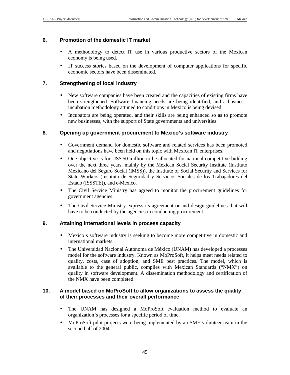### **6. Promotion of the domestic IT market**

- A methodology to detect IT use in various productive sectors of the Mexican economy is being used.
- IT success stories based on the development of computer applications for specific economic sectors have been disseminated.

### **7. Strengthening of local industry**

- New software companies have been created and the capacities of existing firms have been strengthened. Software financing needs are being identified, and a businessincubation methodology attuned to conditions in Mexico is being devised.
- Incubators are being operated, and their skills are being enhanced so as to promote new businesses, with the support of State governments and universities.

#### **8. Opening up government procurement to Mexico's software industry**

- Government demand for domestic software and related services has been promoted and negotiations have been held on this topic with Mexican IT enterprises.
- One objective is for US\$ 50 million to be allocated for national competitive bidding over the next three years, mainly by the Mexican Social Security Institute (Instituto Mexicano del Seguro Social (IMSS)), the Institute of Social Security and Services for State Workers (Instituto de Seguridad y Servicios Sociales de los Trabajadores del Estado (ISSSTE)), and e-Mexico.
- The Civil Service Ministry has agreed to monitor the procurement guidelines for government agencies.
- The Civil Service Ministry express its agreement or and design guidelines that will have to be conducted by the agencies in conducting procurement.

#### **9. Attaining international levels in process capacity**

- Mexico's software industry is seeking to become more competitive in domestic and international markets.
- The Universidad Nacional Autónoma de México (UNAM) has developed a processes model for the software industry. Known as MoProSoft, it helps meet needs related to quality, costs, case of adoption, and SME best practices. The model, which is available to the general public, complies with Mexican Standards ("NMX") on quality in software development. A dissemination methodology and certification of the NMX have been completed.

#### **10. A model based on MoProSoft to allow organizations to assess the quality of their processes and their overall performance**

- The UNAM has designed a MoProSoft evaluation method to evaluate an organization's processes for a specific period of time.
- MoProSoft pilot projects were being implemented by an SME volunteer team in the second half of 2004.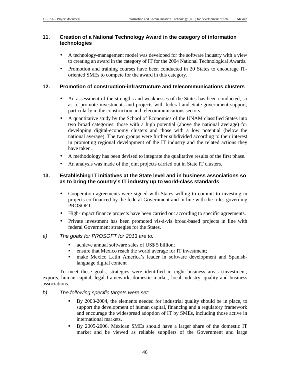#### **11. Creation of a National Technology Award in the category of information technologies**

- A technology-management model was developed for the software industry with a view to creating an award in the category of IT for the 2004 National Technological Awards.
- Promotion and training courses have been conducted in 20 States to encourage IToriented SMEs to compete for the award in this category.

### **12. Promotion of construction-infrastructure and telecommunications clusters**

- An assessment of the strengths and weaknesses of the States has been conducted, so as to promote investments and projects with federal and State-government support, particularly in the construction and telecommunications sectors.
- A quantitative study by the School of Economics of the UNAM classified States into two broad categories: those with a high potential (above the national average) for developing digital-economy clusters and those with a low potential (below the national average). The two groups were further subdivided according to their interest in promoting regional development of the IT industry and the related actions they have taken.
- A methodology has been devised to integrate the qualitative results of the first phase.
- An analysis was made of the joint projects carried out in State IT clusters.

### **13. Establishing IT initiatives at the State level and in business associations so as to bring the country's IT industry up to world-class standards**

- Cooperation agreements were signed with States willing to commit to investing in projects co-financed by the federal Government and in line with the rules governing PROSOFT.
- High-impact finance projects have been carried out according to specific agreements.
- Private investment has been promoted vis-à-vis broad-based projects in line with federal Government strategies for the States.

### a) The goals for PROSOFT for 2013 are to:

- achieve annual software sales of US\$ 5 billion;
- ensure that Mexico reach the world average for IT investment;
- make Mexico Latin America's leader in software development and Spanishlanguage digital content

To meet these goals, strategies were identified in eight business areas (investment, exports, human capital, legal framework, domestic market, local industry, quality and business associations.

#### b) The following specific targets were set:

- - By 2003-2004, the elements needed for industrial quality should be in place, to support the development of human capital, financing and a regulatory framework and encourage the widespread adoption of IT by SMEs, including those active in international markets.
- - By 2005-2006, Mexican SMEs should have a larger share of the domestic IT market and be viewed as reliable suppliers of the Government and large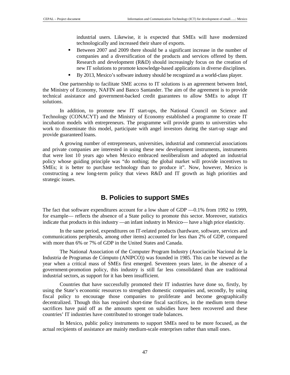industrial users. Likewise, it is expected that SMEs will have modernized technologically and increased their share of exports.

- - Between 2007 and 2009 there should be a significant increase in the number of companies and a diversification of the products and services offered by them. Research and development (R&D) should increasingly focus on the creation of new IT solutions to promote knowledge-based applications in diverse disciplines.
- -By 2013, Mexico's software industry should be recognized as a world-class player.

One partnership to facilitate SME access to IT solutions is an agreement between Intel, the Ministry of Economy, NAFIN and Banco Santander. The aim of the agreement is to provide technical assistance and government-backed credit guarantees to allow SMEs to adopt IT solutions.

In addition, to promote new IT start-ups, the National Council on Science and Technology (CONACYT) and the Ministry of Economy established a programme to create IT incubation models with entrepreneurs. The programme will provide grants to universities who work to disseminate this model, participate with angel investors during the start-up stage and provide guaranteed loans.

A growing number of entrepreneurs, universities, industrial and commercial associations and private companies are interested in using these new development instruments, instruments that were lost 10 years ago when Mexico embraced neoliberalism and adopted an industrial policy whose guiding principle was "do nothing; the global market will provide incentives to SMEs; it is better to purchase technology than to produce it". Now, however, Mexico is constructing a new long-term policy that views R&D and IT growth as high priorities and strategic issues.

## **B. Policies to support SMEs**

The fact that software expenditures account for a low share of GDP —0.1% from 1992 to 1999, for example— reflects the absence of a State policy to promote this sector. Moreover, statistics indicate that products in this industry —an infant industry in Mexico— have a high price elasticity.

In the same period, expenditures on IT-related products (hardware, software, services and communications peripherals, among other items) accounted for less than 2% of GDP, compared with more than 6% or 7% of GDP in the United States and Canada.

The National Association of the Computer Program Industry (Asociación Nacional de la Industria de Programas de Cómputo (ANIPCO)) was founded in 1985. This can be viewed as the year when a critical mass of SMEs first emerged. Seventeen years later, in the absence of a government-promotion policy, this industry is still far less consolidated than are traditional industrial sectors, as support for it has been insufficient.

Countries that have successfully promoted their IT industries have done so, firstly, by using the State's economic resources to strengthen domestic companies and, secondly, by using fiscal policy to encourage those companies to proliferate and become geographically decentralized. Though this has required short-time fiscal sacrifices, in the medium term these sacrifices have paid off as the amounts spent on subsidies have been recovered and these countries' IT industries have contributed to stronger trade balances.

In Mexico, public policy instruments to support SMEs need to be more focused, as the actual recipients of assistance are mainly medium-scale enterprises rather than small ones.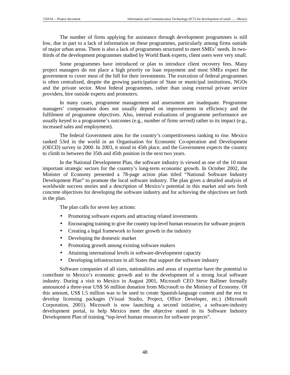The number of firms applying for assistance through development programmes is still low, due in part to a lack of information on these programmes, particularly among firms outside of major urban areas. There is also a lack of programmes structured to meet SMEs' needs. In twothirds of the development programmes studied by World Bank experts, client users were very small.

Some programmes have introduced or plan to introduce client recovery fees. Many project managers do not place a high priority on loan repayment and most SMEs expect the government to cover most of the bill for their investments. The execution of federal programmes is often centralized, despite the growing participation of State or municipal institutions, NGOs and the private sector. Most federal programmes, rather than using external private service providers, hire outside experts and promoters.

In many cases, programme management and assessment are inadequate. Programme managers' compensation does not usually depend on improvements in efficiency and the fulfilment of programme objectives. Also, internal evaluations of programme performance are usually keyed to a programme's outcomes (e.g., number of firms served) rather to its impact (e.g., increased sales and employment).

The federal Government aims for the country's competitiveness ranking to rise. Mexico ranked 53rd in the world in an Organisation for Economic Co-operation and Development (OECD) survey in 2000. In 2003, it stood in 45th place, and the Government expects the country to climb to between the 35th and 45th position in the next two years.

In the National Development Plan, the software industry is viewed as one of the 10 most important strategic sectors for the country's long-term economic growth. In October 2002, the Minister of Economy presented a 78-page action plan titled "National Software Industry Development Plan" to promote the local software industry. The plan gives a detailed analysis of worldwide success stories and a description of Mexico's potential in this market and sets forth concrete objectives for developing the software industry and for achieving the objectives set forth in the plan.

The plan calls for seven key actions:

- Promoting software exports and attracting related investments
- Encouraging training to give the country top-level human resources for software projects
- Creating a legal framework to foster growth in the industry
- Developing the domestic market
- Promoting growth among existing software makers
- Attaining international levels in software-development capacity
- Developing infrastructure in all States that support the software industry

Software companies of all sizes, nationalities and areas of expertise have the potential to contribute to Mexico's economic growth and to the development of a strong local software industry. During a visit to Mexico in August 2001, Microsoft CEO Steve Ballmer formally announced a three-year US\$ 56 million donation from Microsoft to the Ministry of Economy. Of this amount, US\$ 1.5 million was to be used to create Spanish-language content and the rest to develop licensing packages (Visual Studio, Project, Office Developer, etc.) (Microsoft Corporation, 2001). Microsoft is now launching a second initiative, a software-industry development portal, to help Mexico meet the objective stated in its Software Industry Development Plan of training "top-level human resources for software projects".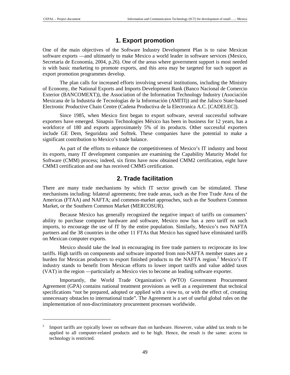$\overline{a}$ 

## **1. Export promotion**

One of the main objectives of the Software Industry Development Plan is to raise Mexican software exports —and ultimately to make Mexico a world leader in software services (Mexico, Secretaria de Economía, 2004, p.26). One of the areas where government support is most needed is with basic marketing to promote exports, and this area may be targeted for such support as export promotion programmes develop.

The plan calls for increased efforts involving several institutions, including the Ministry of Economy, the National Exports and Imports Development Bank (Banco Nacional de Comercio Exterior (BANCOMEXT)), the Association of the Information Technology Industry (Asociación Mexicana de la Industria de Tecnologías de la Información (AMITI)) and the Jalisco State-based Electronic Productive Chain Centre (Cadena Productiva de la Electronica A.C. [CADELEC]).

Since 1985, when Mexico first began to export software, several successful software exporters have emerged. Sinapsis Technologies México has been in business for 12 years, has a workforce of 180 and exports approximately 5% of its products. Other successful exporters include GE Dem, Seguridata and Softtek. These companies have the potential to make a significant contribution to Mexico's trade balance.

As part of the efforts to enhance the competitiveness of Mexico's IT industry and boost its exports, many IT development companies are examining the Capability Maturity Model for Software (CMM) process; indeed, six firms have now obtained CMM2 certification, eight have CMM3 certification and one has received CMM5 certification.

## **2. Trade facilitation**

There are many trade mechanisms by which IT sector growth can be stimulated. These mechanisms including: bilateral agreements; free trade areas, such as the Free Trade Area of the Americas (FTAA) and NAFTA; and common-market approaches, such as the Southern Common Market, or the Southern Common Market (MERCOSUR).

Because Mexico has generally recognized the negative impact of tariffs on consumers' ability to purchase computer hardware and software, Mexico now has a zero tariff on such imports, to encourage the use of IT by the entire population. Similarly, Mexico's two NAFTA partners and the 38 countries in the other 11 FTAs that Mexico has signed have eliminated tariffs on Mexican computer exports.

Mexico should take the lead in encouraging its free trade partners to reciprocate its low tariffs. High tariffs on components and software imported from non-NAFTA member states are a burden for Mexican producers to export finished products to the NAFTA region.<sup>2</sup> Mexico's IT industry stands to benefit from Mexican efforts to lower import tariffs and value added taxes (VAT) in the region —particularly as Mexico vies to become an leading software exporter.

Importantly, the World Trade Organization's (WTO) Government Procurement Agreement (GPA) contains national treatment provisions as well as a requirement that technical specifications "not be prepared, adopted or applied with a view to, or with the effect of, creating unnecessary obstacles to international trade". The Agreement is a set of useful global rules on the implementation of non-discriminatory procurement processes worldwide.

<sup>2</sup> Import tariffs are typically lower on software than on hardware. However, value added tax tends to be applied to all computer-related products and to be high. Hence, the result is the same: access to technology is restricted.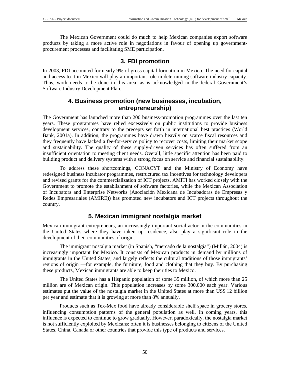The Mexican Government could do much to help Mexican companies export software products by taking a more active role in negotiations in favour of opening up governmentprocurement processes and facilitating SME participation.

### **3. FDI promotion**

In 2003, FDI accounted for nearly 9% of gross capital formation in Mexico. The need for capital and access to it in Mexico will play an important role in determining software industry capacity. Thus, work needs to be done in this area, as is acknowledged in the federal Government's Software Industry Development Plan.

## **4. Business promotion (new businesses, incubation, entrepreneurship)**

The Government has launched more than 200 business-promotion programmes over the last ten years. These programmes have relied excessively on public institutions to provide business development services, contrary to the precepts set forth in international best practices (World Bank, 2001a). In addition, the programmes have drawn heavily on scarce fiscal resources and they frequently have lacked a fee-for-service policy to recover costs, limiting their market scope and sustainability. The quality of these supply-driven services has often suffered from an insufficient orientation to meeting client needs. Overall, little specific attention has been paid to building product and delivery systems with a strong focus on service and financial sustainability.

To address these shortcomings, CONACYT and the Ministry of Economy have redesigned business incubator programmes, restructured tax incentives for technology developers and revised grants for the commercialization of ICT projects. AMITI has worked closely with the Government to promote the establishment of software factories, while the Mexican Association of Incubators and Enterprise Networks (Asociación Mexicana de Incubadoras de Empresas y Redes Empresariales (AMIRE)) has promoted new incubators and ICT projects throughout the country.

## **5. Mexican immigrant nostalgia market**

Mexican immigrant entrepreneurs, an increasingly important social actor in the communities in the United States where they have taken up residence, also play a significant role in the development of their communities of origin.

The immigrant nostalgia market (in Spanish, "mercado de la nostalgia") (Millán, 2004) is increasingly important for Mexico. It consists of Mexican products in demand by millions of immigrants in the United States, and largely reflects the cultural traditions of those immigrants' regions of origin —for example, the furniture, food and clothing that they buy. By purchasing these products, Mexican immigrants are able to keep their ties to Mexico.

The United States has a Hispanic population of some 35 million, of which more than 25 million are of Mexican origin. This population increases by some 300,000 each year. Various estimates put the value of the nostalgia market in the United States at more than US\$ 12 billion per year and estimate that it is growing at more than 8% annually.

Products such as Tex-Mex food have already considerable shelf space in grocery stores, influencing consumption patterns of the general population as well. In coming years, this influence is expected to continue to grow gradually. However, paradoxically, the nostalgia market is not sufficiently exploited by Mexicans; often it is businesses belonging to citizens of the United States, China, Canada or other countries that provide this type of products and services.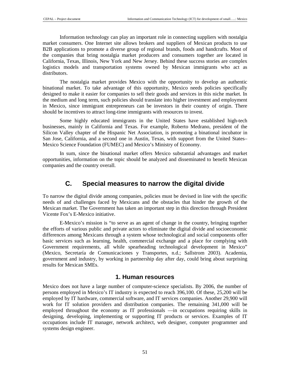Information technology can play an important role in connecting suppliers with nostalgia market consumers. One Internet site allows brokers and suppliers of Mexican products to use B2B applications to promote a diverse group of regional brands, foods and handcrafts. Most of the companies that bring nostalgia market producers and consumers together are located in California, Texas, Illinois, New York and New Jersey. Behind these success stories are complex logistics models and transportation systems owned by Mexican immigrants who act as distributors.

The nostalgia market provides Mexico with the opportunity to develop an authentic binational market. To take advantage of this opportunity, Mexico needs policies specifically designed to make it easier for companies to sell their goods and services in this niche market. In the medium and long term, such policies should translate into higher investment and employment in Mexico, since immigrant entrepreneurs can be investors in their country of origin. There should be incentives to attract long-time immigrants with resources to invest.

Some highly educated immigrants in the United States have established high-tech businesses, mainly in California and Texas. For example, Roberto Medrano, president of the Silicon Valley chapter of the Hispanic Net Association, is promoting a binational incubator in San Jose, California, and a second one in Austin, Texas, with support from the United States– Mexico Science Foundation (FUMEC) and Mexico's Ministry of Economy.

In sum, since the binational market offers Mexico substantial advantages and market opportunities, information on the topic should be analyzed and disseminated to benefit Mexican companies and the country overall.

## **C. Special measures to narrow the digital divide**

To narrow the digital divide among companies, policies must be devised in line with the specific needs of and challenges faced by Mexicans and the obstacles that hinder the growth of the Mexican market. The Government has taken an important step in this direction through President Vicente Fox's E-Mexico initiative.

E-Mexico's mission is "to serve as an agent of change in the country, bringing together the efforts of various public and private actors to eliminate the digital divide and socioeconomic differences among Mexicans through a system whose technological and social components offer basic services such as learning, health, commercial exchange and a place for complying with Government requirements, all while spearheading technological development in Mexico" (Mexico, Secretaría de Comunicaciones y Transportes, n.d.; Sallstrom 2003). Academia, government and industry, by working in partnership day after day, could bring about surprising results for Mexican SMEs.

### **1. Human resources**

Mexico does not have a large number of computer-science specialists. By 2006, the number of persons employed in Mexico's IT industry is expected to reach 396,100. Of these, 25,200 will be employed by IT hardware, commercial software, and IT services companies. Another 29,900 will work for IT solution providers and distribution companies. The remaining 341,000 will be employed throughout the economy as IT professionals —in occupations requiring skills in designing, developing, implementing or supporting IT products or services. Examples of IT occupations include IT manager, network architect, web designer, computer programmer and systems design engineer.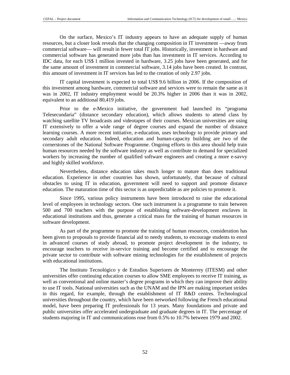On the surface, Mexico's IT industry appears to have an adequate supply of human resources, but a closer look reveals that the changing composition in IT investment —away from commercial software— will result in fewer total IT jobs. Historically, investment in hardware and commercial software has generated more jobs than has investment in IT services. According to IDC data, for each US\$ 1 million invested in hardware, 3.25 jobs have been generated, and for the same amount of investment in commercial software, 3.14 jobs have been created. In contrast, this amount of investment in IT services has led to the creation of only 2.97 jobs.

IT capital investment is expected to total US\$ 9.6 billion in 2006. If the composition of this investment among hardware, commercial software and services were to remain the same as it was in 2002, IT industry employment would be 20.3% higher in 2006 than it was in 2002, equivalent to an additional 80,419 jobs.

Prior to the e-Mexico initiative, the government had launched its "programa Telesecundaria" (distance secondary education), which allows students to attend class by watching satellite TV broadcasts and videotapes of their courses. Mexican universities are using IT extensively to offer a wide range of degree courses and expand the number of distance learning courses. A more recent initiative, e-education, uses technology to provide primary and secondary adult education. Indeed, education and human-capacity building are two of the cornerstones of the National Software Programme. Ongoing efforts in this area should help train human resources needed by the software industry as well as contribute to demand for specialized workers by increasing the number of qualified software engineers and creating a more e-savvy and highly skilled workforce.

Nevertheless, distance education takes much longer to mature than does traditional education. Experience in other countries has shown, unfortunately, that because of cultural obstacles to using IT in education, government will need to support and promote distance education. The maturation time of this sector is as unpredictable as are policies to promote it.

Since 1995, various policy instruments have been introduced to raise the educational level of employees in technology sectors. One such instrument is a programme to train between 500 and 700 teachers with the purpose of establishing software-development enclaves in educational institutions and thus, generate a critical mass for the training of human resources in software development.

As part of the programme to promote the training of human resources, consideration has been given to proposals to provide financial aid to needy students, to encourage students to enrol in advanced courses of study abroad, to promote project development in the industry, to encourage teachers to receive in-service training and become certified and to encourage the private sector to contribute with software mining technologies for the establishment of projects with educational institutions.

The Instituto Tecnológico y de Estudios Superiores de Monterrey (ITESM) and other universities offer continuing education courses to allow SME employees to receive IT training, as well as conventional and online master's degree programs in which they can improve their ability to use IT tools. National universities such as the UNAM and the IPN are making important strides in this regard, for example, through the establishment of IT R&D centres. Technological universities throughout the country, which have been networked following the French educational model, have been preparing IT professionals for 13 years. Many foundations and private and public universities offer accelerated undergraduate and graduate degrees in IT. The percentage of students majoring in IT and communications rose from 0.5% to 10.7% between 1979 and 2002.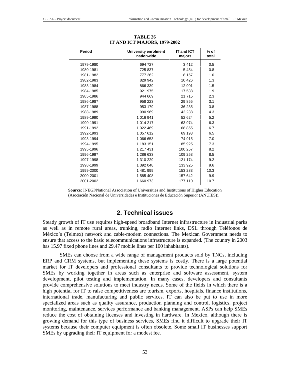| Period    | <b>University enrolment</b><br>nationwide | IT and ICT<br>majors | $%$ of<br>total |
|-----------|-------------------------------------------|----------------------|-----------------|
| 1979-1980 | 694 727                                   | 3412                 | 0.5             |
| 1980-1981 | 725 837                                   | 5 4 5 4              | 0.8             |
| 1981-1982 | 777 262                                   | 8 1 5 7              | 1.0             |
| 1982-1983 | 829 942                                   | 10 4 26              | 1.3             |
| 1983-1984 | 866 339                                   | 12 901               | 1.5             |
| 1984-1985 | 921 975                                   | 17 538               | 1.9             |
| 1985-1986 | 944 669                                   | 21 7 15              | 2.3             |
| 1986-1987 | 958 223                                   | 29 855               | 3.1             |
| 1987-1988 | 953 179                                   | 36 235               | 3.8             |
| 1988-1989 | 990 969                                   | 42 238               | 4.3             |
| 1989-1990 | 1 016 941                                 | 52 624               | 5.2             |
| 1990-1991 | 1 014 217                                 | 63 974               | 6.3             |
| 1991-1992 | 1 022 469                                 | 68 855               | 6.7             |
| 1992-1993 | 1 057 612                                 | 69 193               | 6.5             |
| 1993-1994 | 1 066 653                                 | 74 915               | 7.0             |
| 1994-1995 | 1 183 151                                 | 85 925               | 7.3             |
| 1995-1996 | 1 217 431                                 | 100 257              | 8.2             |
| 1996-1997 | 1 286 633                                 | 109 253              | 8.5             |
| 1997-1998 | 1 310 229                                 | 121 174              | 9.2             |
| 1998-1999 | 1 392 048                                 | 133 925              | 9.6             |
| 1999-2000 | 1481999                                   | 153 283              | 10.3            |
| 2000-2001 | 1 585 408                                 | 157 642              | 9.9             |
| 2001-2002 | 1 660 973                                 | 177 110              | 10.7            |

**TABLE 26 IT AND ICT MAJORS, 1979-2002** 

**Source:** INEGI/National Association of Universities and Institutions of Higher Education (Asociación Nacional de Universidades e Instituciones de Educación Superior (ANUIES)).

### **2. Technical issues**

Steady growth of IT use requires high-speed broadband Internet infrastructure in industrial parks as well as in remote rural areas, trunking, radio Internet links, DSL through Teléfonos de México's (Telmex) network and cable-modem connections. The Mexican Government needs to ensure that access to the basic telecommunications infrastructure is expanded. (The country in 2003 has 15.97 fixed phone lines and 29.47 mobile lines per 100 inhabitants).

SMEs can choose from a wide range of management products sold by TNCs, including ERP and CRM systems, but implementing these systems is costly. There is a large potential market for IT developers and professional consultants to provide technological solutions for SMEs by working together in areas such as enterprise and software assessment, system development, pilot testing and implementation. In many cases, developers and consultants provide comprehensive solutions to meet industry needs. Some of the fields in which there is a high potential for IT to raise competitiveness are tourism, exports, hospitals, finance institutions, international trade, manufacturing and public services. IT can also be put to use in more specialized areas such as quality assurance, production planning and control, logistics, project monitoring, maintenance, services performance and banking management. ASPs can help SMEs reduce the cost of obtaining licenses and investing in hardware. In Mexico, although there is growing demand for this type of business services, SMEs find it difficult to upgrade their IT systems because their computer equipment is often obsolete. Some small IT businesses support SMEs by upgrading their IT equipment for a modest fee.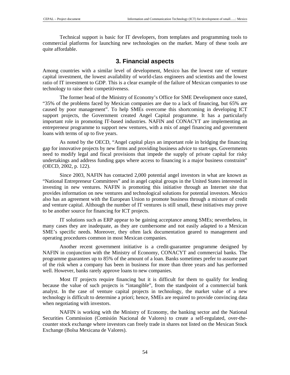Technical support is basic for IT developers, from templates and programming tools to commercial platforms for launching new technologies on the market. Many of these tools are quite affordable.

### **3. Financial aspects**

Among countries with a similar level of development, Mexico has the lowest rate of venture capital investment, the lowest availability of world-class engineers and scientists and the lowest ratio of IT investment to GDP. This is a clear example of the failure of Mexican companies to use technology to raise their competitiveness.

The former head of the Ministry of Economy's Office for SME Development once stated, "35% of the problems faced by Mexican companies are due to a lack of financing, but 65% are caused by poor management". To help SMEs overcome this shortcoming in developing ICT support projects, the Government created Angel Capital programme. It has a particularly important role in promoting IT-based industries. NAFIN and CONACYT are implementing an entrepreneur programme to support new ventures, with a mix of angel financing and government loans with terms of up to five years.

As noted by the OECD, "Angel capital plays an important role in bridging the financing gap for innovative projects by new firms and providing business advice to start-ups. Governments need to modify legal and fiscal provisions that impede the supply of private capital for risky undertakings and address funding gaps where access to financing is a major business constraint" (OECD, 2002, p. 122).

Since 2003, NAFIN has contacted 2,000 potential angel investors in what are known as "National Entrepreneur Committees" and in angel capital groups in the United States interested in investing in new ventures. NAFIN is promoting this initiative through an Internet site that provides information on new ventures and technological solutions for potential investors. Mexico also has an agreement with the European Union to promote business through a mixture of credit and venture capital. Although the number of IT ventures is still small, these initiatives may prove to be another source for financing for ICT projects.

IT solutions such as ERP appear to be gaining acceptance among SMEs; nevertheless, in many cases they are inadequate, as they are cumbersome and not easily adapted to a Mexican SME's specific needs. Moreover, they often lack documentation geared to management and operating procedures common in most Mexican companies.

Another recent government initiative is a credit-guarantee programme designed by NAFIN in conjunction with the Ministry of Economy, CONACYT and commercial banks. The programme guarantees up to 85% of the amount of a loan. Banks sometimes prefer to assume part of the risk when a company has been in business for more than three years and has performed well. However, banks rarely approve loans to new companies.

Most IT projects require financing but it is difficult for them to qualify for lending because the value of such projects is "intangible", from the standpoint of a commercial bank analyst. In the case of venture capital projects in technology, the market value of a new technology is difficult to determine a priori; hence, SMEs are required to provide convincing data when negotiating with investors.

NAFIN is working with the Ministry of Economy, the banking sector and the National Securities Commission (Comisión Nacional de Valores) to create a self-regulated, over-thecounter stock exchange where investors can freely trade in shares not listed on the Mexican Stock Exchange (Bolsa Mexicana de Valores).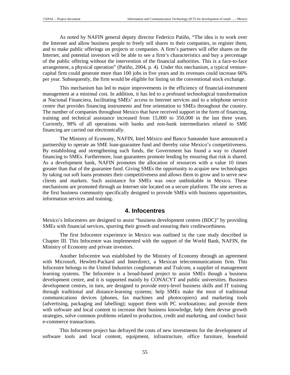As noted by NAFIN general deputy director Federico Patiño, "The idea is to work over the Internet and allow business people to freely sell shares in their companies, to register them, and to make public offerings on projects or companies. A firm's partners will offer shares on the Internet, and potential investors will be able to see a firm's characteristics and buy a percentage of the public offering without the intervention of the financial authorities. This is a face-to-face arrangement, a physical operation" (Patiño, 2004, p. 4). Under this mechanism, a typical venturecapital firm could generate more than 100 jobs in five years and its revenues could increase 66% per year. Subsequently, the firm would be eligible for listing on the conventional stock exchange.

This mechanism has led to major improvements in the efficiency of financial-instrument management at a minimal cost. In addition, it has led to a profound technological transformation at Nacional Financiera, facilitating SMEs' access to Internet services and to a telephone service centre that provides financing instruments and free orientation to SMEs throughout the country. The number of companies throughout Mexico that have received support in the form of financing, training and technical assistance increased from 15,000 to 350,000 in the last three years. Currently, 98% of all operations with banks and non-bank intermediaries related to SME financing are carried out electronically.

The Ministry of Economy, NAFIN, Intel México and Banco Santander have announced a partnership to operate an SME loan-guarantee fund and thereby raise Mexico's competitiveness. By establishing and strengthening such funds, the Government has found a way to channel financing to SMEs. Furthermore, loan guarantees promote lending by ensuring that risk is shared. As a development bank, NAFIN promotes the allocation of resources with a value 10 times greater than that of the guarantee fund. Giving SMEs the opportunity to acquire new technologies by taking out soft loans promotes their competitiveness and allows them to grow and to serve new clients and markets. Such assistance for SMEs was once unthinkable in Mexico. These mechanisms are promoted through an Internet site located on a secure platform. The site serves as the first business community specifically designed to provide SMEs with business opportunities, information services and training.

### **4. Infocentres**

Mexico's Infocentres are designed to assist "business development centres (BDC)" by providing SMEs with financial services, spurring their growth and ensuring their creditworthiness.

The first Infocentre experience in Mexico was outlined in the case study described in Chapter III. This Infocentre was implemented with the support of the World Bank, NAFIN, the Ministry of Economy and private investors.

Another Infocentre was established by the Ministry of Economy through an agreement with Microsoft, Hewlett-Packard and Interdirect, a Mexican telecommunications firm. This Infocentre belongs to the United Industries conglomerate and Tralcom, a supplier of management learning systems. The Infocentre is a broad-based project to assist SMEs though a business development centre, and it is supported mainly by CONACYT and public universities. Business development centres, in turn, are designed to provide entry-level business skills and IT training through traditional and distance-learning systems; help SMEs make the most of traditional communications devices (phones, fax machines and photocopiers) and marketing tools (advertising, packaging and labelling); support them with PC workstations; and provide them with software and local content to increase their business knowledge, help them devise growth strategies, solve common problems related to production, credit and marketing, and conduct basic e-commerce transactions.

This Infocentre project has defrayed the costs of new investments for the development of software tools and local content, equipment, infrastructure, office furniture, leasehold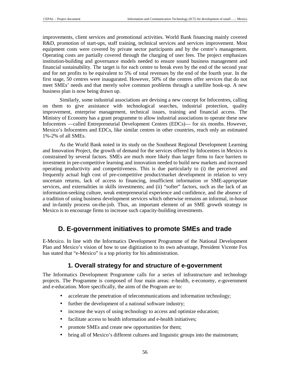improvements, client services and promotional activities. World Bank financing mainly covered R&D, promotion of start-ups, staff training, technical services and services improvement. Most equipment costs were covered by private sector participants and by the centre's management. Operating costs are partially covered through the charging of user fees. The project emphasizes institution-building and governance models needed to ensure sound business management and financial sustainability. The target is for each centre to break even by the end of the second year and for net profits to be equivalent to 5% of total revenues by the end of the fourth year. In the first stage, 50 centres were inaugurated. However, 50% of the centres offer services that do not meet SMEs' needs and that merely solve common problems through a satellite hook-up. A new business plan is now being drawn up.

Similarly, some industrial associations are devising a new concept for Infocentres, calling on them to give assistance with technological searches, industrial protection, quality improvement, enterprise management, technical issues, training and financial access. The Ministry of Economy has a grant programme to allow industrial associations to operate these new Infocentres —called Entrepreneurial Development Centres (EDCs)— for six months. However, Mexico's Infocentres and EDCs, like similar centres in other countries, reach only an estimated 1%-2% of all SMEs.

As the World Bank noted in its study on the Southeast Regional Development Learning and Innovation Project, the growth of demand for the services offered by Infocentres in Mexico is constrained by several factors. SMEs are much more likely than larger firms to face barriers to investment in pre-competitive learning and innovation needed to build new markets and increased operating productivity and competitiveness. This is due particularly to (i) the perceived and frequently actual high cost of pre-competitive product/market development in relation to very uncertain returns, lack of access to financing, insufficient information or SME-appropriate services, and externalities in skills investments; and (ii) "softer" factors, such as the lack of an information-seeking culture, weak entrepreneurial experience and confidence, and the absence of a tradition of using business development services which otherwise remains an informal, in-house and in-family process on-the-job. Thus, an important element of an SME growth strategy in Mexico is to encourage firms to increase such capacity-building investments.

## **D. E-government initiatives to promote SMEs and trade**

E-Mexico. In line with the Informatics Development Programme of the National Development Plan and Mexico's vision of how to use digitization to its own advantage, President Vicente Fox has stated that "e-Mexico" is a top priority for his administration.

## **1. Overall strategy for and structure of e-government**

The Informatics Development Programme calls for a series of infrastructure and technology projects. The Programme is composed of four main areas: e-health, e-economy, e-government and e-education. More specifically, the aims of the Program are to:

- accelerate the penetration of telecommunications and information technology;
- further the development of a national software industry;
- increase the ways of using technology to access and optimize education;
- facilitate access to health information and e-health initiatives;
- promote SMEs and create new opportunities for them;
- bring all of Mexico's different cultures and linguistic groups into the mainstream;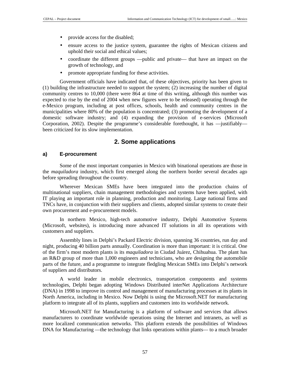- provide access for the disabled;
- ensure access to the justice system, guarantee the rights of Mexican citizens and uphold their social and ethical values;
- coordinate the different groups —public and private— that have an impact on the growth of technology, and
- promote appropriate funding for these activities.

Government officials have indicated that, of these objectives, priority has been given to (1) building the infrastructure needed to support the system; (2) increasing the number of digital community centres to 10,000 (there were 864 at time of this writing, although this number was expected to rise by the end of 2004 when new figures were to be released) operating through the e-Mexico program, including at post offices, schools, health and community centres in the municipalities where 80% of the population is concentrated; (3) promoting the development of a domestic software industry; and (4) expanding the provision of e-services (Microsoft Corporation, 2002). Despite the programme's considerable forethought, it has —justifiably been criticized for its slow implementation.

### **2. Some applications**

#### **a) E-procurement**

Some of the most important companies in Mexico with binational operations are those in the *maquiladora* industry, which first emerged along the northern border several decades ago before spreading throughout the country.

Wherever Mexican SMEs have been integrated into the production chains of multinational suppliers, chain management methodologies and systems have been applied, with IT playing an important role in planning, production and monitoring. Large national firms and TNCs have, in conjunction with their suppliers and clients, adopted similar systems to create their own procurement and e-procurement models.

In northern Mexico, high-tech automotive industry, Delphi Automotive Systems (Microsoft, websites), is introducing more advanced IT solutions in all its operations with customers and suppliers.

Assembly lines in Delphi's Packard Electric division, spanning 36 countries, run day and night, producing 40 billion parts annually. Coordination is more than important: it is critical. One of the firm's most modern plants is its *maquiladora* in Ciudad Juárez, Chihuahua. The plant has an R&D group of more than 1,000 engineers and technicians, who are designing the automobile parts of the future, and a programme to integrate fledgling Mexican SMEs into Delphi's network of suppliers and distributors.

A world leader in mobile electronics, transportation components and systems technologies, Delphi began adopting Windows Distributed interNet Applications Architecture (DNA) in 1998 to improve its control and management of manufacturing processes at its plants in North America, including in Mexico. Now Delphi is using the Microsoft.NET for manufacturing platform to integrate all of its plants, suppliers and customers into its worldwide network.

Microsoft.NET for Manufacturing is a platform of software and services that allows manufacturers to coordinate worldwide operations using the Internet and intranets, as well as more localized communication networks. This platform extends the possibilities of Windows DNA for Manufacturing —the technology that links operations within plants— to a much broader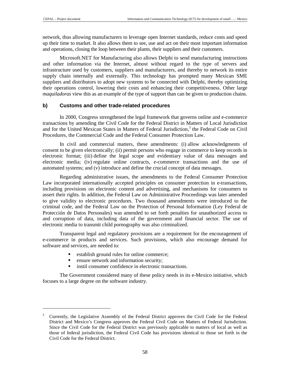$\overline{a}$ 

network, thus allowing manufacturers to leverage open Internet standards, reduce costs and speed up their time to market. It also allows them to see, use and act on their most important information and operations, closing the loop between their plants, their suppliers and their customers.

Microsoft.NET for Manufacturing also allows Delphi to send manufacturing instructions and other information via the Internet, almost without regard to the type of servers and infrastructure used by customers, suppliers and manufacturers, and thereby to network its entire supply chain internally and externally. This technology has prompted many Mexican SME suppliers and distributors to adopt new systems to be connected with Delphi, thereby optimizing their operations control, lowering their costs and enhancing their competitiveness. Other large *maquiladoras* view this as an example of the type of support than can be given to production chains.

#### **b) Customs and other trade-related procedures**

In 2000, Congress strengthened the legal framework that governs online and e-commerce transactions by amending the Civil Code for the Federal District in Matters of Local Jurisdiction and for the United Mexican States in Matters of Federal Jurisdiction,<sup>3</sup> the Federal Code on Civil Procedures, the Commercial Code and the Federal Consumer Protection Law.

In civil and commercial matters, these amendments: (i) allow acknowledgments of consent to be given electronically; (ii) permit persons who engage in commerce to keep records in electronic format; (iii) define the legal scope and evidentiary value of data messages and electronic media; (iv) regulate online contracts, e-commerce transactions and the use of automated systems; and (v) introduce and define the crucial concept of data messages.

Regarding administrative issues, the amendments to the Federal Consumer Protection Law incorporated internationally accepted principles on consumer protection in e-transactions, including provisions on electronic content and advertising, and mechanisms for consumers to assert their rights. In addition, the Federal Law on Administrative Proceedings was later amended to give validity to electronic procedures. Two thousand amendments were introduced to the criminal code, and the Federal Law on the Protection of Personal Information (Ley Federal de Protección de Datos Personales) was amended to set forth penalties for unauthorized access to and corruption of data, including data of the government and financial sector. The use of electronic media to transmit child pornography was also criminalized.

Transparent legal and regulatory provisions are a requirement for the encouragement of e-commerce in products and services. Such provisions, which also encourage demand for software and services, are needed to:

- **•** establish ground rules for online commerce;
- ensure network and information security;
- instil consumer confidence in electronic transactions.

The Government considered many of these policy needs in its e-Mexico initiative, which focuses to a large degree on the software industry.

<sup>3</sup> Currently, the Legislative Assembly of the Federal District approves the Civil Code for the Federal District and Mexico's Congress approves the Federal Civil Code on Matters of Federal Jurisdiction. Since the Civil Code for the Federal District was previously applicable to matters of local as well as those of federal jurisdiction, the Federal Civil Code has provisions identical to those set forth in the Civil Code for the Federal District.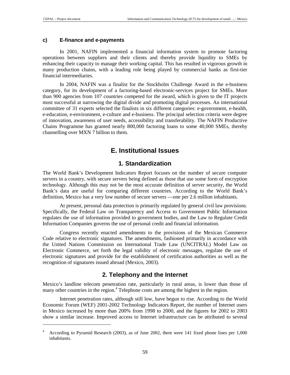$\overline{a}$ 

#### **c) E-finance and e-payments**

In 2001, NAFIN implemented a financial information system to promote factoring operations between suppliers and their clients and thereby provide liquidity to SMEs by enhancing their capacity to manage their working capital. This has resulted in vigorous growth in many production chains, with a leading role being played by commercial banks as first-tier financial intermediaries.

In 2004, NAFIN was a finalist for the Stockholm Challenge Award in the e-business category, for its development of a factoring-based electronic-services project for SMEs. More than 900 agencies from 107 countries competed for the award, which is given to the IT projects most successful at narrowing the digital divide and promoting digital processes. An international committee of 31 experts selected the finalists in six different categories: e-government, e-health, e-education, e-environment, e-culture and e-business. The principal selection criteria were degree of innovation, awareness of user needs, accessibility and transferability. The NAFIN Productive Chains Programme has granted nearly 800,000 factoring loans to some 40,000 SMEs, thereby channelling over MXN 7 billion to them.

## **E. Institutional Issues**

## **1. Standardization**

The World Bank's Development Indicators Report focuses on the number of secure computer servers in a country, with secure servers being defined as those that use some form of encryption technology. Although this may not be the most accurate definition of server security, the World Bank's data are useful for comparing different countries. According to the World Bank's definition, Mexico has a very low number of secure servers —one per 2.6 million inhabitants.

At present, personal data protection is primarily regulated by general civil law provisions. Specifically, the Federal Law on Transparency and Access to Government Public Information regulates the use of information provided to government bodies, and the Law to Regulate Credit Information Companies governs the use of personal credit and financial information.

Congress recently enacted amendments to the provisions of the Mexican Commerce Code relative to electronic signatures. The amendments, fashioned primarily in accordance with the United Nations Commission on International Trade Law (UNCITRAL) Model Law on Electronic Commerce, set forth the legal validity of electronic messages, regulate the use of electronic signatures and provide for the establishment of certification authorities as well as the recognition of signatures issued abroad (Mexico, 2003).

## **2. Telephony and the Internet**

Mexico's landline telecom penetration rate, particularly in rural areas, is lower than those of many other countries in the region.<sup>4</sup> Telephone costs are among the highest in the region.

Internet penetration rates, although still low, have begun to rise. According to the World Economic Forum (WEF) 2001-2002 Technology Indicators Report, the number of Internet users in Mexico increased by more than 200% from 1998 to 2000, and the figures for 2002 to 2003 show a similar increase. Improved access to Internet infrastructure can be attributed to several

<sup>4</sup> According to Pyramid Research (2003), as of June 2002, there were 141 fixed phone lines per 1,000 inhabitants.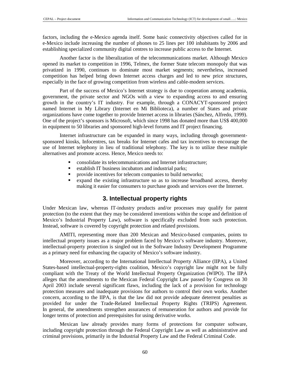factors, including the e-Mexico agenda itself. Some basic connectivity objectives called for in e-Mexico include increasing the number of phones to 25 lines per 100 inhabitants by 2006 and establishing specialized community digital centres to increase public access to the Internet.

Another factor is the liberalization of the telecommunications market. Although Mexico opened its market to competition in 1996, Telmex, the former State telecom monopoly that was privatized in 1990, continues to dominate most market segments; nevertheless, increased competition has helped bring down Internet access charges and led to new price structures, especially in the face of growing competition from wireless and cable-modem services.

Part of the success of Mexico's Internet strategy is due to cooperation among academia, government, the private sector and NGOs with a view to expanding access to and ensuring growth in the country's IT industry. For example, through a CONACYT-sponsored project named Internet in My Library (Internet en Mi Biblioteca), a number of States and private organizations have come together to provide Internet access in libraries (Sánchez, Alfredo, 1999). One of the project's sponsors is Microsoft, which since 1998 has donated more than US\$ 400,000 in equipment to 50 libraries and sponsored high-level forums and IT project financing.

Internet infrastructure can be expanded in many ways, including through governmentsponsored kiosks, Infocentres, tax breaks for Internet cafes and tax incentives to encourage the use of Internet telephony in lieu of traditional telephony. The key is to utilize these multiple alternatives and promote access. Hence, Mexico needs to:

- consolidate its telecommunications and Internet infrastructure;
- establish IT business incubators and industrial parks;
- provide incentives for telecom companies to build networks;
- expand the existing infrastructure so as to increase broadband access, thereby making it easier for consumers to purchase goods and services over the Internet.

## **3. Intellectual property rights**

Under Mexican law, whereas IT-industry products and/or processes may qualify for patent protection (to the extent that they may be considered inventions within the scope and definition of Mexico's Industrial Property Law), software is specifically excluded from such protection. Instead, software is covered by copyright protection and related provisions.

AMITI, representing more than 200 Mexican and Mexico-based companies, points to intellectual property issues as a major problem faced by Mexico's software industry. Moreover, intellectual-property protection is singled out in the Software Industry Development Programme as a primary need for enhancing the capacity of Mexico's software industry.

Moreover, according to the International Intellectual Property Alliance (IIPA), a United States-based intellectual-property-rights coalition, Mexico's copyright law might not be fully compliant with the Treaty of the World Intellectual Property Organization (WIPO). The IIPA alleges that the amendments to the Mexican Federal Copyright Law passed by Congress on 30 April 2003 include several significant flaws, including the lack of a provision for technology protection measures and inadequate provisions for authors to control their own works. Another concern, according to the IIPA, is that the law did not provide adequate deterrent penalties as provided for under the Trade-Related Intellectual Property Rights (TRIPS) Agreement. In general, the amendments strengthen assurances of remuneration for authors and provide for longer terms of protection and prerequisites for using derivative works.

Mexican law already provides many forms of protections for computer software, including copyright protection through the Federal Copyright Law as well as administrative and criminal provisions, primarily in the Industrial Property Law and the Federal Criminal Code.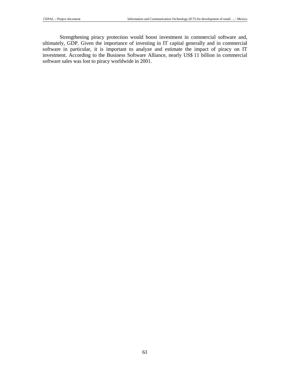Strengthening piracy protection would boost investment in commercial software and, ultimately, GDP. Given the importance of investing in IT capital generally and in commercial software in particular, it is important to analyze and estimate the impact of piracy on IT investment. According to the Business Software Alliance, nearly US\$ 11 billion in commercial software sales was lost to piracy worldwide in 2001.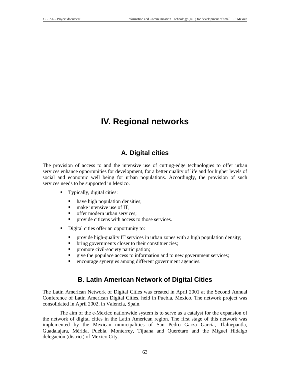# **IV. Regional networks**

## **A. Digital cities**

The provision of access to and the intensive use of cutting-edge technologies to offer urban services enhance opportunities for development, for a better quality of life and for higher levels of social and economic well being for urban populations. Accordingly, the provision of such services needs to be supported in Mexico.

- Typically, digital cities:
	- have high population densities;
	- make intensive use of IT;
	- offer modern urban services;
	- provide citizens with access to those services.
- Digital cities offer an opportunity to:
	- provide high-quality IT services in urban zones with a high population density;
	- bring governments closer to their constituencies;
	- promote civil-society participation;
	- give the populace access to information and to new government services;
	- encourage synergies among different government agencies.

## **B. Latin American Network of Digital Cities**

The Latin American Network of Digital Cities was created in April 2001 at the Second Annual Conference of Latin American Digital Cities, held in Puebla, Mexico. The network project was consolidated in April 2002, in Valencia, Spain.

The aim of the e-Mexico nationwide system is to serve as a catalyst for the expansion of the network of digital cities in the Latin American region. The first stage of this network was implemented by the Mexican municipalities of San Pedro Garza García, Tlalnepantla, Guadalajara, Mérida, Puebla, Monterrey, Tijuana and Querétaro and the Miguel Hidalgo delegación (district) of Mexico City.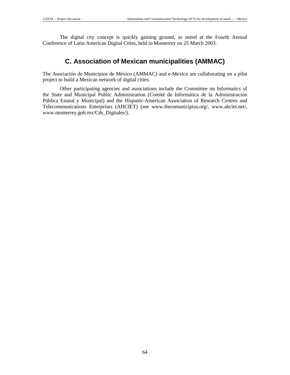The digital city concept is quickly gaining ground, as noted at the Fourth Annual Conference of Latin American Digital Cities, held in Monterrey on 25 March 2003.

## **C. Association of Mexican municipalities (AMMAC)**

The Asociación de Municipios de México (AMMAC) and e-Mexico are collaborating on a pilot project to build a Mexican network of digital cities.

Other participating agencies and associations include the Committee on Informatics of the State and Municipal Public Administration (Comité de Informática de la Administración Pública Estatal y Municipal) and the Hispanic-American Association of Research Centres and Telecommunications Enterprises (AHCIET) (see www.iberomunicipios.org/, www.ahciet.net/, www.monterrey.gob.mx/Cds\_Digitales/).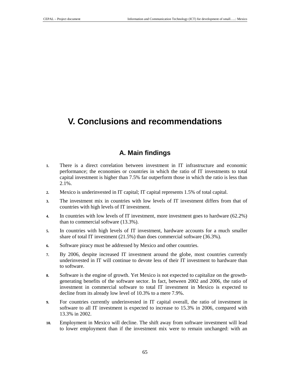# **V. Conclusions and recommendations**

## **A. Main findings**

- **1.** There is a direct correlation between investment in IT infrastructure and economic performance; the economies or countries in which the ratio of IT investments to total capital investment is higher than 7.5% far outperform those in which the ratio is less than 2.1%.
- **2.** Mexico is underinvested in IT capital; IT capital represents 1.5% of total capital.
- **3.** The investment mix in countries with low levels of IT investment differs from that of countries with high levels of IT investment.
- **4.** In countries with low levels of IT investment, more investment goes to hardware (62.2%) than to commercial software (13.3%).
- **5.** In countries with high levels of IT investment, hardware accounts for a much smaller share of total IT investment (21.5%) than does commercial software (36.3%).
- **6.** Software piracy must be addressed by Mexico and other countries.
- **7.** By 2006, despite increased IT investment around the globe, most countries currently underinvested in IT will continue to devote less of their IT investment to hardware than to software.
- **8.** Software is the engine of growth. Yet Mexico is not expected to capitalize on the growthgenerating benefits of the software sector. In fact, between 2002 and 2006, the ratio of investment in commercial software to total IT investment in Mexico is expected to decline from its already low level of 10.3% to a mere 7.9%.
- **9.** For countries currently underinvested in IT capital overall, the ratio of investment in software to all IT investment is expected to increase to 15.3% in 2006, compared with 13.3% in 2002.
- **10.** Employment in Mexico will decline. The shift away from software investment will lead to lower employment than if the investment mix were to remain unchanged: with an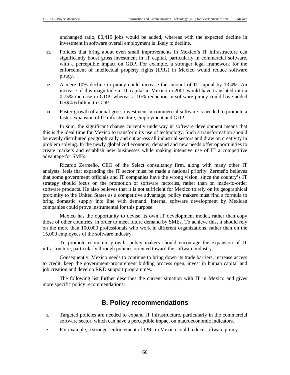unchanged ratio, 80,419 jobs would be added, whereas with the expected decline in investment in software overall employment is likely to decline.

- **11.** Policies that bring about even small improvements in Mexico's IT infrastructure can significantly boost gross investment in IT capital, particularly in commercial software, with a perceptible impact on GDP. For example, a stronger legal framework for the enforcement of intellectual property rights (IPRs) in Mexico would reduce software piracy.
- **12.** A mere 10% decline in piracy could increase the amount of IT capital by 13.4%. An increase of this magnitude in IT capital in Mexico in 2001 would have translated into a 0.75% increase in GDP, whereas a 10% reduction in software piracy could have added US\$ 4.6 billion to GDP.
- **13.** Faster growth of annual gross investment in commercial software is needed to promote a faster expansion of IT infrastructure, employment and GDP.

In sum, the significant change currently underway in software development means that this is the ideal time for Mexico to transform its use of technology. Such a transformation should be evenly distributed geographically and cut across all industrial sectors and draw on creativity in problem solving. In the newly globalized economy, demand and new needs offer opportunities to create markets and establish new businesses while making intensive use of IT a competitive advantage for SMEs.

Ricardo Zermeño, CEO of the Select consultancy firm, along with many other IT analysts, feels that expanding the IT sector must be made a national priority. Zermeño believes that some government officials and IT companies have the wrong vision, since the country's IT strategy should focus on the promotion of software factories, rather than on made-to-order software products. He also believes that it is not sufficient for Mexico to rely on its geographical proximity to the United States as a competitive advantage; policy makers must find a formula to bring domestic supply into line with demand. Internal software development by Mexican companies could prove instrumental for this purpose.

Mexico has the opportunity to devise its own IT development model, rather than copy those of other countries, in order to meet future demand by SMEs. To achieve this, it should rely on the more than 100,000 professionals who work in different organizations, rather than on the 15,000 employees of the software industry.

To promote economic growth, policy makers should encourage the expansion of IT infrastructure, particularly through policies oriented toward the software industry.

Consequently, Mexico needs to continue to bring down its trade barriers, increase access to credit, keep the government-procurement bidding process open, invest in human capital and job creation and develop R&D support programmes.

The following list further describes the current situation with IT in Mexico and gives more specific policy recommendations:

## **B. Policy recommendations**

- **1.** Targeted policies are needed to expand IT infrastructure, particularly in the commercial software sector, which can have a perceptible impact on macroeconomic indicators.
- **2.** For example, a stronger enforcement of IPRs in Mexico could reduce software piracy.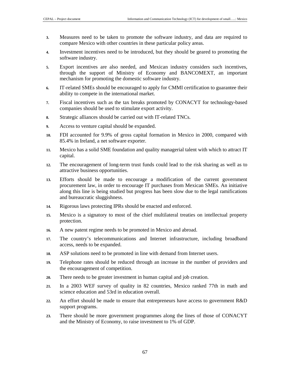- **3.** Measures need to be taken to promote the software industry, and data are required to compare Mexico with other countries in these particular policy areas.
- **4.** Investment incentives need to be introduced, but they should be geared to promoting the software industry.
- **5.** Export incentives are also needed, and Mexican industry considers such incentives, through the support of Ministry of Economy and BANCOMEXT, an important mechanism for promoting the domestic software industry.
- **6.** IT-related SMEs should be encouraged to apply for CMMI certification to guarantee their ability to compete in the international market.
- **7.** Fiscal incentives such as the tax breaks promoted by CONACYT for technology-based companies should be used to stimulate export activity.
- **8.** Strategic alliances should be carried out with IT-related TNCs.
- **9.** Access to venture capital should be expanded.
- **10.** FDI accounted for 9.9% of gross capital formation in Mexico in 2000, compared with 85.4% in Ireland, a net software exporter.
- **11.** Mexico has a solid SME foundation and quality managerial talent with which to attract IT capital.
- **12.** The encouragement of long-term trust funds could lead to the risk sharing as well as to attractive business opportunities.
- **13.** Efforts should be made to encourage a modification of the current government procurement law, in order to encourage IT purchases from Mexican SMEs. An initiative along this line is being studied but progress has been slow due to the legal ramifications and bureaucratic sluggishness.
- **14.** Rigorous laws protecting IPRs should be enacted and enforced.
- **15.** Mexico is a signatory to most of the chief multilateral treaties on intellectual property protection.
- **16.** A new patent regime needs to be promoted in Mexico and abroad.
- **17.** The country's telecommunications and Internet infrastructure, including broadband access, needs to be expanded.
- **18.** ASP solutions need to be promoted in line with demand from Internet users.
- **19.** Telephone rates should be reduced through an increase in the number of providers and the encouragement of competition.
- **20.** There needs to be greater investment in human capital and job creation.
- **21.** In a 2003 WEF survey of quality in 82 countries, Mexico ranked 77th in math and science education and 53rd in education overall.
- **22.** An effort should be made to ensure that entrepreneurs have access to government R&D support programs.
- **23.** There should be more government programmes along the lines of those of CONACYT and the Ministry of Economy, to raise investment to 1% of GDP.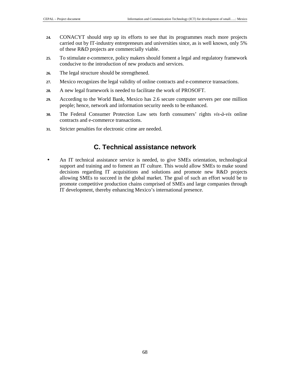- **24.** CONACYT should step up its efforts to see that its programmes reach more projects carried out by IT-industry entrepreneurs and universities since, as is well known, only 5% of these R&D projects are commercially viable.
- **25.** To stimulate e-commerce, policy makers should foment a legal and regulatory framework conducive to the introduction of new products and services.
- **26.** The legal structure should be strengthened.
- **27.** Mexico recognizes the legal validity of online contracts and e-commerce transactions.
- **28.** A new legal framework is needed to facilitate the work of PROSOFT.
- **29.** According to the World Bank, Mexico has 2.6 secure computer servers per one million people; hence, network and information security needs to be enhanced.
- **30.** The Federal Consumer Protection Law sets forth consumers' rights *vis-à-vis* online contracts and e-commerce transactions.
- **31.** Stricter penalties for electronic crime are needed.

## **C. Technical assistance network**

• An IT technical assistance service is needed, to give SMEs orientation, technological support and training and to foment an IT culture. This would allow SMEs to make sound decisions regarding IT acquisitions and solutions and promote new R&D projects allowing SMEs to succeed in the global market. The goal of such an effort would be to promote competitive production chains comprised of SMEs and large companies through IT development, thereby enhancing Mexico's international presence.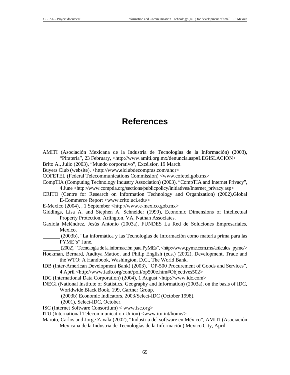# **References**

- AMITI (Asociación Mexicana de la Industria de Tecnologías de la Información) (2003), "Piratería", 23 February, <http://www.amiti.org.mx/denuncia.asp#LEGISLACION>
- Brito A., Julio (2003), "Mundo corporativo", Excélsior, 19 March.
- Buyers Club (website), <http://www.elclubdecompras.com/ahqr>
- COFETEL (Federal Telecommunications Commission) <www.cofetel.gob.mx>
- CompTIA (Computing Technology Industry Association) (2003), "CompTIA and Internet Privacy", 4 June <http://www.comptia.org/sections/publicpolicy/initiatives/Internet\_privacy.asp>
- CRITO (Centre for Research on Information Technology and Organization) (2002),Global E-Commerce Report <www.crito.uci.edu/>
- E-Mexico (2004), , 1 September <http://www.e-mexico.gob.mx>
- Giddings, Lisa A. and Stephen A. Schneider (1999), Economic Dimensions of Intellectual Property Protection, Arlington, VA, Nathan Associates.
- Gaxiola Meléndrez, Jesús Antonio (2003a), FUNDES La Red de Soluciones Empresariales, Mexico.
- (2003b), "La informática y las Tecnologías de Información como materia prima para las PYME's" June.
- (2002), "Tecnología de la información para PyMEs", <http://www.pyme.com.mx/articulos\_pyme/>
- Hoekman, Bernard, Aaditya Mattoo, and Philip English (eds.) (2002), Development, Trade and the WTO: A Handbook, Washington, D.C., The World Bank.
- IDB (Inter-American Development Bank) (2003), "OP-500 Procurement of Goods and Services", 4 April <http://www.iadb.org/cont/poli/op500e.htm#Objectives502>
- IDC (International Data Corporation) (2004), 1 August <http://www.idc.com>
- INEGI (National Institute of Statistics, Geography and Information) (2003a), on the basis of IDC, Worldwide Black Book, 199, Gartner Group.
	- (2003b) Economic Indicators, 2003/Select-IDC (October 1998).
- (2001), Select-IDC, October.
- ISC (Internet Software Consortium) < www.isc.org>
- ITU (International Telecommunication Union) <www.itu.int/home/>
- Maroto, Carlos and Jorge Zavala (2002), "Industria del software en México", AMITI (Asociación Mexicana de la Industria de Tecnologías de la Información) Mexico City, April.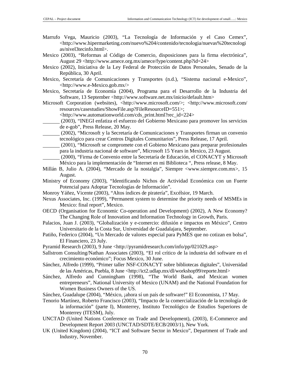- Marrufo Vega, Mauricio (2003), "La Tecnología de Información y el Caso Cemex", <http://www.hipermarketing.com/nuevo%204/contenido/tecnologia/nuevas%20tecnologi as/nivel3tecinfo.html>.
- Mexico (2003), "Reformas al Código de Comercio, disposiciones para la firma electrónica", August 29 <http://www.amece.org.mx/amece/fype/content.php?id=24>
- Mexico (2002), Iniciativa de la Ley Federal de Protección de Datos Personales, Senado de la República, 30 April.
- Mexico, Secretaría de Comunicaciones y Transportes (n.d.), "Sistema nacional e-Mexico", <http://www.e-Mexico.gob.mx/>
- Mexico, Secretaría de Economía (2004), Programa para el Desarrollo de la Industria del Software, 13 September <http://www.software.net.mx/inicio/default.htm>
- Microsoft Corporation (websites), <http://www.microsoft.com/>; <http://www.microsoft.com/ resources/casestudies/ShowFile.asp?FileResourceID=551>;

<http://www.automationworld.com/cds\_print.html?rec\_id=224>

- (2003), "INEGI enfatiza el esfuerzo del Gobierno Mexicano para promover los servicios de e-gob", Press Release, 20 May.
- (2002), "Microsoft y la Secretaría de Comunicaciones y Transportes firman un convenio tecnológico para crear Centros Digitales Comunitarios", Press Release, 17 April.
- (2001), "Microsoft se compromete con el Gobieno Mexicano para preparar profesionales para la industria nacional de software", Microsoft 15 Years in Mexico, 23 August.
- (2000), "Firma de Convenio entre la Secretaría de Educación, el CONACYT y Microsoft México para la implementación de "Internet en mi Biblioteca ", Press release, 8 May.
- Millán B, Julio A. (2004), "Mercado de la nostalgia", Siempre <www.siempre.com.mx>, 15 August.
- Ministry of Economy (2003), "Identificando Nichos de Actividad Económica con un Fuerte Potencial para Adoptar Tecnologías de Información".
- Monroy Yáñez, Vicente (2003), "Altos índices de piratería", Excélsior, 19 March.
- Nexus Associates, Inc. (1999), "Permanent system to determine the priority needs of MSMEs in Mexico: final report", Mexico.
- OECD (Organisation for Economic Co-operation and Development) (2002), A New Economy? The Changing Role of Innovation and Information Technology in Growth, Paris.
- Palacios, Juan J. (2003), "Globalización y e-comercio: difusión e impactos en México", Centro Universitario de la Costa Sur, Universidad de Guadalajara, September.
- Patiño, Federico (2004), "Un Mercado de valores especial para PyMES que no cotizan en bolsa", El Financiero, 23 July.
- Pyramid Research (2003), 9 June <http://pyramidresearch.com/info/pp/021029.asp>
- Sallstrom Consulting/Nathan Associates (2003), "El rol crítico de la industria del software en el crecimiento económico"; Focus Mexico, 30 June.
- Sánchez, Alfredo (1999), "Primer taller NSF-CONACYT sobre bibliotecas digitales", Universidad de las Américas, Puebla, 8 June <http://ict2.udlap.mx/dl/workshop99/reporte.html>
- Sánchez, Alfredo and Cunningham (1998), "The World Bank, and Mexican women entrepreneurs", National University of Mexico (UNAM) and the National Foundation for Women Business Owners of the US.
- Sánchez, Guadalupe (2004), "México, ¡ahora sí un país de software!" El Economista, 17 May.
- Tenorio Martínez, Roberto Francisco (2003), "Impacto de la comercialización de la tecnología de la información" (parte I), Monterrey, Instituto Tecnológico de Estudios Superiores de Monterrey (ITESM), July.
- UNCTAD (United Nations Conference on Trade and Development), (2003), E-Commerce and Development Report 2003 (UNCTAD/SDTE/ECB/2003/1), New York.
- UK (United Kingdom) (2004), "ICT and Software Sector in Mexico", Department of Trade and Industry, November.